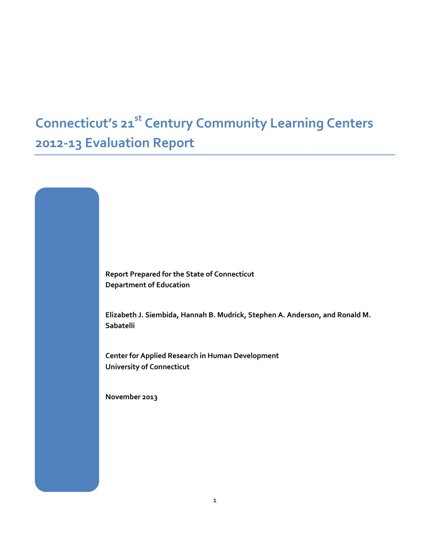# **Connecticut's 21st Century Community Learning Centers 2012‐13 Evaluation Report**

**Report Prepared for the State of Connecticut Department of Education**

**Elizabeth J. Siembida, Hannah B. Mudrick, Stephen A. Anderson, and Ronald M. Sabatelli**

**Center for Applied Research in Human Development University of Connecticut**

**November 2013**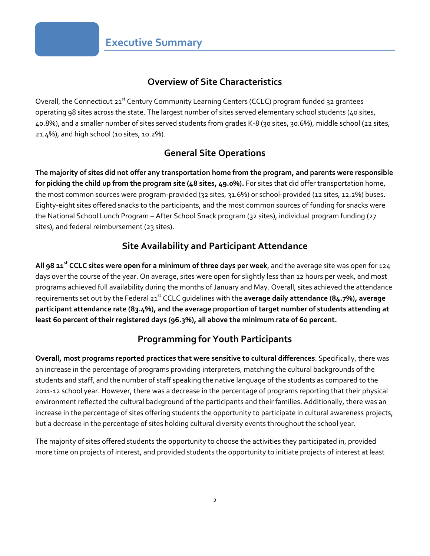#### **Overview of Site Characteristics**

Overall, the Connecticut 21<sup>st</sup> Century Community Learning Centers (CCLC) program funded 32 grantees operating 98 sites across the state. The largest number of sites served elementary school students (40 sites, 40.8%), and a smaller number of sites served students from grades K‐8 (30 sites, 30.6%), middle school (22 sites, 21.4%), and high school (10 sites, 10.2%).

#### **General Site Operations**

The majority of sites did not offer any transportation home from the program, and parents were responsible **for picking the child up from the program site (48 sites, 49.0%).** For sites that did offer transportation home, the most common sources were program-provided (32 sites, 31.6%) or school-provided (12 sites, 12.2%) buses. Eighty‐eight sites offered snacks to the participants, and the most common sources of funding for snacks were the National School Lunch Program – After School Snack program (32 sites), individual program funding (27 sites), and federal reimbursement (23 sites).

#### **Site Availability and Participant Attendance**

**All 98 21st CCLC sites were open for a minimum of three days per week**, and the average site was open for 124 days over the course of the year. On average, sites were open for slightly less than 12 hours per week, and most programs achieved full availability during the months of January and May. Overall, sites achieved the attendance requirements set out by the Federal 21st CCLC guidelines with the **average daily attendance (84.7%), average participant attendance rate (83.4%), and the average proportion of target number of students attending at least 60 percent of their registered days (96.3%), all above the minimum rate of 60 percent.**

### **Programming for Youth Participants**

**Overall, most programs reported practices that were sensitive to cultural differences**. Specifically, there was an increase in the percentage of programs providing interpreters, matching the cultural backgrounds of the students and staff, and the number of staff speaking the native language of the students as compared to the 2011‐12 school year. However, there was a decrease in the percentage of programs reporting that their physical environment reflected the cultural background of the participants and their families. Additionally, there was an increase in the percentage of sites offering students the opportunity to participate in cultural awareness projects, but a decrease in the percentage of sites holding cultural diversity events throughout the school year.

The majority of sites offered students the opportunity to choose the activities they participated in, provided more time on projects of interest, and provided students the opportunity to initiate projects of interest at least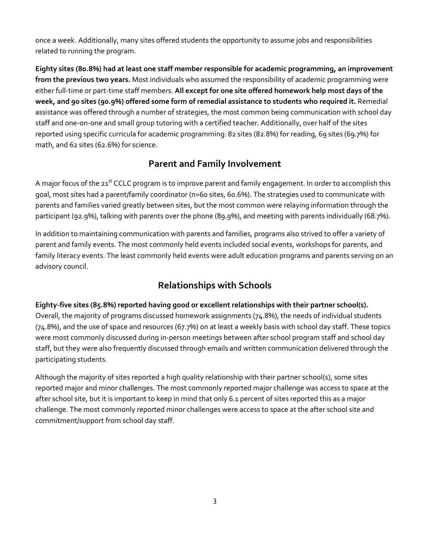once a week. Additionally, many sites offered students the opportunity to assume jobs and responsibilities related to running the program.

**Eighty sites (80.8%) had at least one staff member responsible for academic programming, an improvement from the previous two years.** Most individuals who assumed the responsibility of academic programming were either full‐time or part‐time staff members. **All except for one site offered homework help most days of the week, and 90 sites (90.9%) offered some form of remedial assistance to students who required it.** Remedial assistance was offered through a number of strategies, the most common being communication with school day staff and one‐on‐one and small group tutoring with a certified teacher. Additionally, over half of the sites reported using specific curricula for academic programming: 82 sites (82.8%) for reading, 69 sites (69.7%) for math, and 62 sites (62.6%) for science.

#### **Parent and Family Involvement**

A major focus of the 21<sup>st</sup> CCLC program is to improve parent and family engagement. In order to accomplish this goal, most sites had a parent/family coordinator (n=60 sites, 60.6%). The strategies used to communicate with parents and families varied greatly between sites, but the most common were relaying information through the participant (92.9%), talking with parents over the phone (89.9%), and meeting with parents individually (68.7%).

In addition to maintaining communication with parents and families, programs also strived to offer a variety of parent and family events. The most commonly held events included social events, workshops for parents, and family literacy events. The least commonly held events were adult education programs and parents serving on an advisory council.

### **Relationships with Schools**

#### **Eighty‐five sites (85.8%) reported having good or excellent relationships with their partner school(s).**

Overall, the majority of programs discussed homework assignments (74.8%), the needs of individual students (74.8%), and the use of space and resources (67.7%) on at least a weekly basis with school day staff. These topics were most commonly discussed during in-person meetings between after school program staff and school day staff, but they were also frequently discussed through emails and written communication delivered through the participating students.

Although the majority of sites reported a high quality relationship with their partner school(s), some sites reported major and minor challenges. The most commonly reported major challenge was access to space at the after school site, but it is important to keep in mind that only 6.1 percent of sites reported this as a major challenge. The most commonly reported minor challenges were access to space at the after school site and commitment/support from school day staff.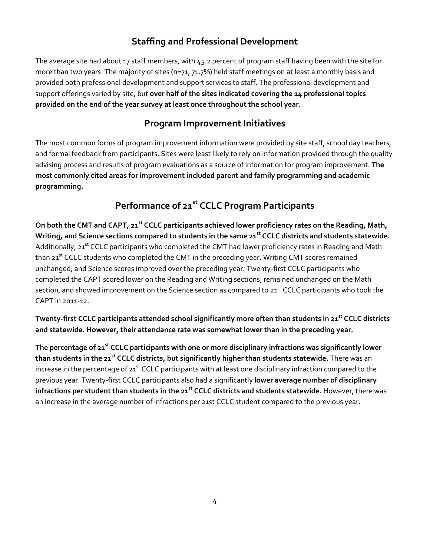### **Staffing and Professional Development**

The average site had about 17 staff members, with 45.2 percent of program staff having been with the site for more than two years. The majority of sites (n=71, 71.7%) held staff meetings on at least a monthly basis and provided both professional development and support services to staff. The professional development and support offerings varied by site, but **over half of the sites indicated covering the 14 professional topics provided on the end of the year survey at least once throughout the school year**.

#### **Program Improvement Initiatives**

The most common forms of program improvement information were provided by site staff, school day teachers, and formal feedback from participants. Sites were least likely to rely on information provided through the quality advising process and results of program evaluations as a source of information for program improvement. **The most commonly cited areas for improvement included parent and family programming and academic programming.**

### **Performance of 21st CCLC Program Participants**

On both the CMT and CAPT, 21<sup>st</sup> CCLC participants achieved lower proficiency rates on the Reading, Math, Writing, and Science sections compared to students in the same 21<sup>st</sup> CCLC districts and students statewide. Additionally, 21<sup>st</sup> CCLC participants who completed the CMT had lower proficiency rates in Reading and Math than 21<sup>st</sup> CCLC students who completed the CMT in the preceding year. Writing CMT scores remained unchanged, and Science scores improved over the preceding year. Twenty‐first CCLC participants who completed the CAPT scored lower on the Reading and Writing sections, remained unchanged on the Math section, and showed improvement on the Science section as compared to  $21<sup>st</sup>$  CCLC participants who took the CAPT in 2011‐12.

Twenty-first CCLC participants attended school significantly more often than students in 21<sup>st</sup> CCLC districts **and statewide. However, their attendance rate was somewhat lower than in the preceding year.** 

**The percentage of 21st CCLC participants with one or more disciplinary infractions was significantly lower than students in the 21st CCLC districts, but significantly higher than students statewide.** There was an increase in the percentage of  $21^{st}$  CCLC participants with at least one disciplinary infraction compared to the previous year. Twenty‐first CCLC participants also had a significantly **lower average number of disciplinary infractions per student than students in the 21st CCLC districts and students statewide.** However, there was an increase in the average number of infractions per 21st CCLC student compared to the previous year.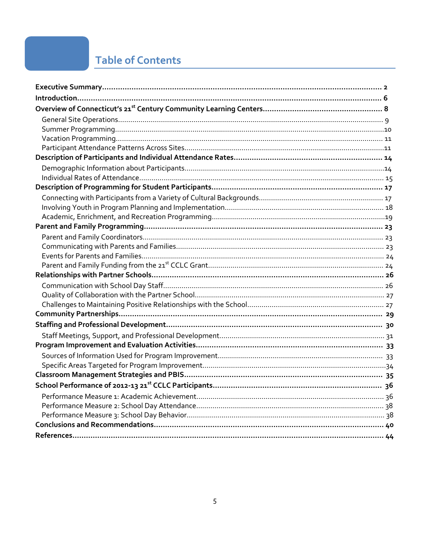## **Table of Contents**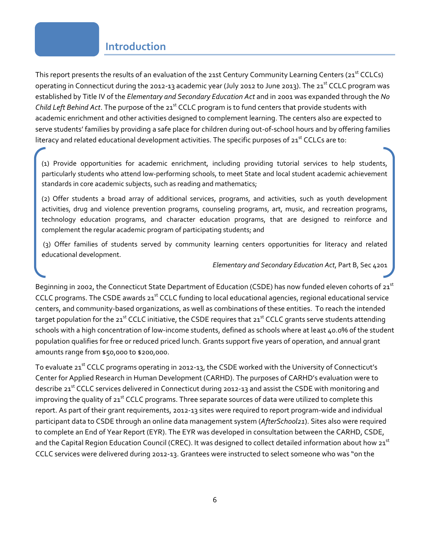#### **Introduction**

This report presents the results of an evaluation of the 21st Century Community Learning Centers (21<sup>st</sup> CCLCs) operating in Connecticut during the 2012-13 academic year (July 2012 to June 2013). The 21<sup>st</sup> CCLC program was established by Title IV of the *Elementary and Secondary Education Act* and in 2001 was expanded through the *No Child Left Behind Act*. The purpose of the 21<sup>st</sup> CCLC program is to fund centers that provide students with academic enrichment and other activities designed to complement learning. The centers also are expected to serve students' families by providing a safe place for children during out-of-school hours and by offering families literacy and related educational development activities. The specific purposes of  $21<sup>st</sup>$  CCLCs are to:

(1) Provide opportunities for academic enrichment, including providing tutorial services to help students, particularly students who attend low‐performing schools, to meet State and local student academic achievement standards in core academic subjects, such as reading and mathematics;

(2) Offer students a broad array of additional services, programs, and activities, such as youth development activities, drug and violence prevention programs, counseling programs, art, music, and recreation programs, technology education programs, and character education programs, that are designed to reinforce and complement the regular academic program of participating students; and

(3) Offer families of students served by community learning centers opportunities for literacy and related educational development.

#### *Elementary and Secondary Education Act*, Part B, Sec 4201

Beginning in 2002, the Connecticut State Department of Education (CSDE) has now funded eleven cohorts of 21<sup>st</sup> CCLC programs. The CSDE awards 21<sup>st</sup> CCLC funding to local educational agencies, regional educational service centers, and community‐based organizations, as well as combinations of these entities. To reach the intended target population for the 21<sup>st</sup> CCLC initiative, the CSDE requires that 21<sup>st</sup> CCLC grants serve students attending schools with a high concentration of low-income students, defined as schools where at least 40.0% of the student population qualifies for free or reduced priced lunch. Grants support five years of operation, and annual grant amounts range from \$50,000 to \$200,000.

To evaluate 21<sup>st</sup> CCLC programs operating in 2012-13, the CSDE worked with the University of Connecticut's Center for Applied Research in Human Development (CARHD). The purposes of CARHD's evaluation were to describe 21<sup>st</sup> CCLC services delivered in Connecticut during 2012-13 and assist the CSDE with monitoring and improving the quality of 21<sup>st</sup> CCLC programs. Three separate sources of data were utilized to complete this report. As part of their grant requirements, 2012‐13 sites were required to report program‐wide and individual participant data to CSDE through an online data management system (*AfterSchool21*). Sites also were required to complete an End of Year Report (EYR). The EYR was developed in consultation between the CARHD, CSDE, and the Capital Region Education Council (CREC). It was designed to collect detailed information about how 21<sup>st</sup> CCLC services were delivered during 2012‐13. Grantees were instructed to select someone who was "on the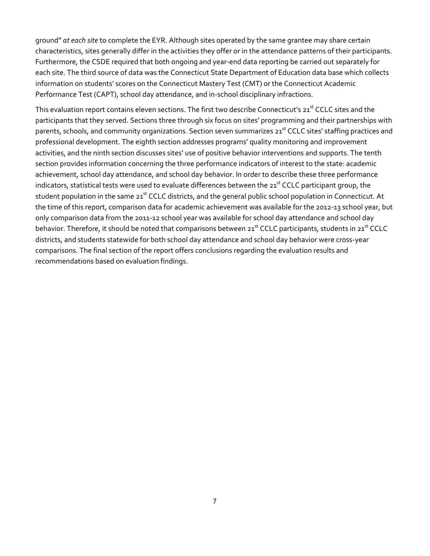ground" *at each site* to complete the EYR. Although sites operated by the same grantee may share certain characteristics, sites generally differ in the activities they offer or in the attendance patterns of their participants. Furthermore, the CSDE required that both ongoing and year‐end data reporting be carried out separately for each site. The third source of data was the Connecticut State Department of Education data base which collects information on students' scores on the Connecticut Mastery Test (CMT) or the Connecticut Academic Performance Test (CAPT), school day attendance, and in‐school disciplinary infractions.

This evaluation report contains eleven sections. The first two describe Connecticut's 21<sup>st</sup> CCLC sites and the participants that they served. Sections three through six focus on sites' programming and their partnerships with parents, schools, and community organizations. Section seven summarizes 21<sup>st</sup> CCLC sites' staffing practices and professional development. The eighth section addresses programs' quality monitoring and improvement activities, and the ninth section discusses sites' use of positive behavior interventions and supports. The tenth section provides information concerning the three performance indicators of interest to the state: academic achievement, school day attendance, and school day behavior. In order to describe these three performance indicators, statistical tests were used to evaluate differences between the 21<sup>st</sup> CCLC participant group, the student population in the same 21<sup>st</sup> CCLC districts, and the general public school population in Connecticut. At the time of this report, comparison data for academic achievement was available for the 2012‐13 school year, but only comparison data from the 2011‐12 school year was available for school day attendance and school day behavior. Therefore, it should be noted that comparisons between 21<sup>st</sup> CCLC participants, students in 21<sup>st</sup> CCLC districts, and students statewide for both school day attendance and school day behavior were cross‐year comparisons. The final section of the report offers conclusions regarding the evaluation results and recommendations based on evaluation findings.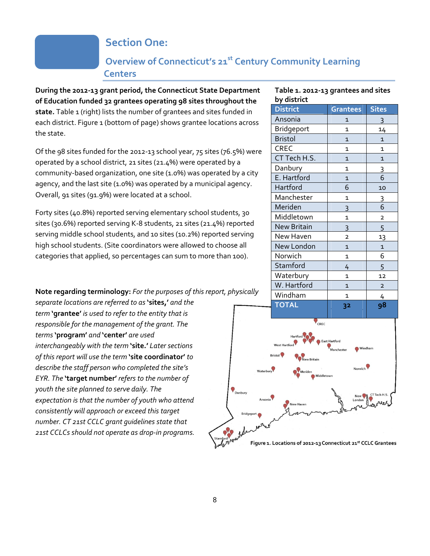### **Section One:**

### **Overview of Connecticut's 21st Century Community Learning Centers**

**During the 2012‐13 grant period, the Connecticut State Department of Education funded 32 grantees operating 98 sites throughout the** state. Table 1 (right) lists the number of grantees and sites funded in each district. Figure 1 (bottom of page) shows grantee locations across the state.

Of the 98 sites funded for the 2012‐13 school year, 75 sites (76.5%) were operated by a school district, 21 sites (21.4%) were operated by a community-based organization, one site (1.0%) was operated by a city agency, and the last site (1.0%) was operated by a municipal agency. Overall, 91 sites (91.9%) were located at a school.

Forty sites (40.8%) reported serving elementary school students, 30 sites (30.6%) reported serving K‐8 students, 21 sites (21.4%) reported serving middle school students, and 10 sites (10.2%) reported serving high school students. (Site coordinators were allowed to choose all categories that applied, so percentages can sum to more than 100).

**Note regarding terminology:** *For the purposes of this report, physically*

*separate locations are referred to as* **'sites,'** *and the term* **'grantee'** *is used to refer to the entity that is responsible for the management of the grant. The terms* **'program'** *and* **'center'** *are used interchangeably with the term* **'site.'** *Later sections of this report will use the term* **'site coordinator'** *to describe the staff person who completed the site's EYR. The* **'target number'** *refers to the number of youth the site planned to serve daily. The expectation is that the number of youth who attend consistently will approach or exceed this target number. CT 21st CCLC grant guidelines state that 21st CCLCs should not operate as drop‐in programs.*

#### **Table 1. 2012‐13 grantees and sites by district**

| <b>District</b> | Grantees       | <b>Sites</b>   |
|-----------------|----------------|----------------|
| Ansonia         | $\overline{1}$ | 3              |
| Bridgeport      | 1              | 14             |
| <b>Bristol</b>  | $\overline{1}$ | $\mathbf{1}$   |
| <b>CREC</b>     | 1              | 1              |
| CT Tech H.S.    | $\overline{1}$ | 1              |
| Danbury         | $\mathbf{1}$   | 3              |
| E. Hartford     | $\overline{1}$ | 6              |
| Hartford        | 6              | 10             |
| Manchester      | $\mathbf{1}$   | 3              |
| Meriden         | 3              | 6              |
| Middletown      | $\mathbf{1}$   | $\overline{2}$ |
| New Britain     | 3              | 5              |
| New Haven       | $\overline{2}$ | 13             |
| New London      | $\overline{1}$ | $\mathbf{1}$   |
| Norwich         | $\mathbf{1}$   | 6              |
| Stamford        | 4              | 5              |
| Waterbury       | $\mathbf{1}$   | 12             |
| W. Hartford     | $\overline{1}$ | $\overline{2}$ |
| Windham         | $\mathbf{1}$   | 4              |
| <b>TOTAL</b>    | 32             | 98             |

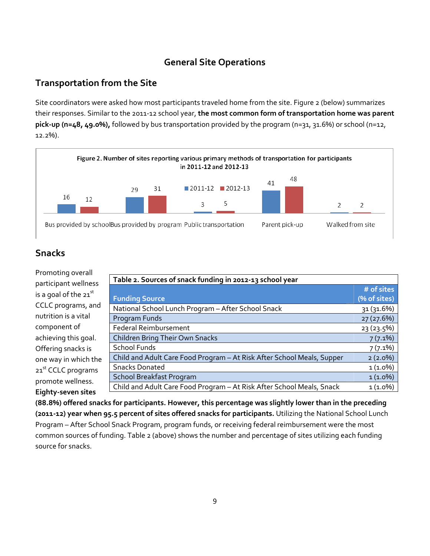#### **General Site Operations**

#### **Transportation from the Site**

Site coordinators were asked how most participants traveled home from the site. Figure 2 (below) summarizes their responses. Similar to the 2011‐12 school year, **the most common form of transportation home was parent pick‐up (n=48, 49.0%),** followed by bus transportation provided by the program (n=31, 31.6%) or school (n=12, 12.2%).



#### **Snacks**

| Promoting overall              |                                                                        |              |  |
|--------------------------------|------------------------------------------------------------------------|--------------|--|
| participant wellness           | Table 2. Sources of snack funding in 2012-13 school year               |              |  |
|                                |                                                                        | # of sites   |  |
| is a goal of the 21st          | <b>Funding Source</b>                                                  | (% of sites) |  |
| CCLC programs, and             | National School Lunch Program - After School Snack                     | 31 (31.6%)   |  |
| nutrition is a vital           | Program Funds                                                          | 27 (27.6%)   |  |
| component of                   | <b>Federal Reimbursement</b>                                           | 23 (23.5%)   |  |
| achieving this goal.           | Children Bring Their Own Snacks                                        | $7(7.1\%)$   |  |
| Offering snacks is             | <b>School Funds</b>                                                    | $7(7.1\%)$   |  |
| one way in which the           | Child and Adult Care Food Program - At Risk After School Meals, Supper | $2(2.0\%)$   |  |
| 21 <sup>st</sup> CCLC programs | <b>Snacks Donated</b>                                                  | $1(1.0\%)$   |  |
| promote wellness.              | <b>School Breakfast Program</b>                                        | $1(1.0\%)$   |  |
|                                | Child and Adult Care Food Program - At Risk After School Meals, Snack  | $1(1.0\%)$   |  |
| Eighty-seven sites             |                                                                        |              |  |

**(88.8%) offered snacks for participants. However, this percentage was slightly lower than in the preceding (2011‐12) year when 95.5 percent of sites offered snacks for participants.** Utilizing the National School Lunch Program – After School Snack Program, program funds, or receiving federal reimbursement were the most common sources of funding. Table 2 (above) shows the number and percentage of sites utilizing each funding source for snacks.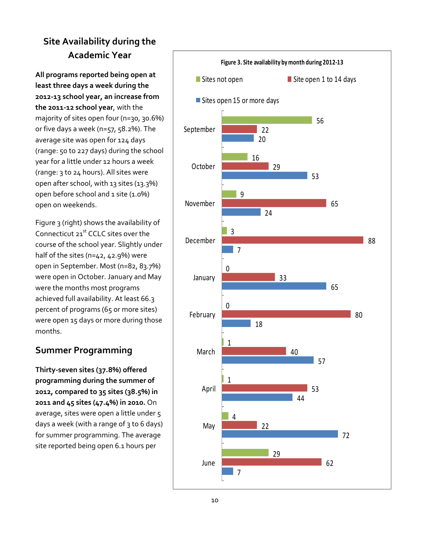## **Site Availability during the Academic Year**

**All programs reported being open at least three days a week during the 2012‐13 school year, an increase from the 2011‐12 school year**, with the majority of sites open four (n=30, 30.6%) or five days a week (n=57, 58.2%). The average site was open for 124 days (range: 50 to 227 days) during the school year for a little under 12 hours a week (range: 3 to 24 hours). All sites were open after school, with 13 sites (13.3%) open before school and 1 site (1.0%) open on weekends.

Figure 3 (right) shows the availability of Connecticut 21<sup>st</sup> CCLC sites over the course of the school year. Slightly under half of the sites (n=42, 42.9%) were open in September. Most (n=82, 83.7%) were open in October. January and May were the months most programs achieved full availability. At least 66.3 percent of programs (65 or more sites) were open 15 days or more during those months.

### **Summer Programming**

**Thirty‐seven sites (37.8%) offered programming during the summer of 2012, compared to 35 sites (38.5%) in 2011 and 45 sites (47.4%) in 2010.** On average, sites were open a little under 5 days a week (with a range of 3 to 6 days) for summer programming. The average site reported being open 6.1 hours per

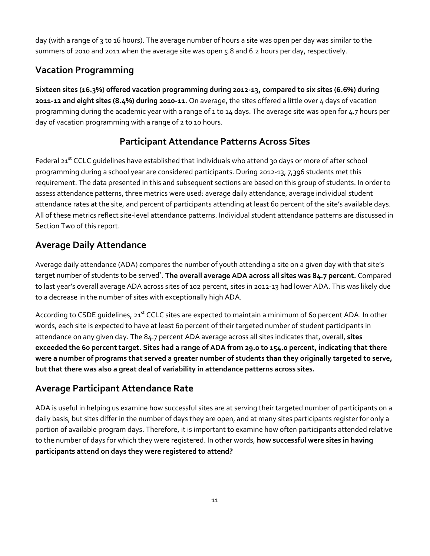day (with a range of 3 to 16 hours). The average number of hours a site was open per day was similar to the summers of 2010 and 2011 when the average site was open 5.8 and 6.2 hours per day, respectively.

### **Vacation Programming**

**Sixteen sites (16.3%) offered vacation programming during 2012‐13, compared to six sites (6.6%) during 2011‐12 and eight sites (8.4%) during 2010‐11.** On average, the sites offered a little over 4 days of vacation programming during the academic year with a range of 1 to 14 days. The average site was open for 4.7 hours per day of vacation programming with a range of 2 to 10 hours.

### **Participant Attendance Patterns Across Sites**

Federal 21<sup>st</sup> CCLC quidelines have established that individuals who attend 30 days or more of after school programming during a school year are considered participants. During 2012‐13, 7,396 students met this requirement. The data presented in this and subsequent sections are based on this group of students. In order to assess attendance patterns, three metrics were used: average daily attendance, average individual student attendance rates at the site, and percent of participants attending at least 60 percent of the site's available days. All of these metrics reflect site‐level attendance patterns. Individual student attendance patterns are discussed in Section Two of this report.

### **Average Daily Attendance**

Average daily attendance (ADA) compares the number of youth attending a site on a given day with that site's target number of students to be served<sup>1</sup>. <mark>The overall average ADA across all sites was 84.7 percent. Compared</mark> to last year's overall average ADA across sites of 102 percent, sites in 2012‐13 had lower ADA. This was likely due to a decrease in the number of sites with exceptionally high ADA.

According to CSDE guidelines, 21<sup>st</sup> CCLC sites are expected to maintain a minimum of 60 percent ADA. In other words, each site is expected to have at least 60 percent of their targeted number of student participants in attendance on any given day. The 84.7 percent ADA average across all sites indicates that, overall, **sites** exceeded the 60 percent target. Sites had a range of ADA from 29.0 to 154.0 percent, indicating that there were a number of programs that served a greater number of students than they originally targeted to serve, **but that there was also a great deal of variability in attendance patterns across sites.**

### **Average Participant Attendance Rate**

ADA is useful in helping us examine how successful sites are at serving their targeted number of participants on a daily basis, but sites differ in the number of days they are open, and at many sites participants register for only a portion of available program days. Therefore, it is important to examine how often participants attended relative to the number of days for which they were registered. In other words, **how successful were sites in having participants attend on days they were registered to attend?**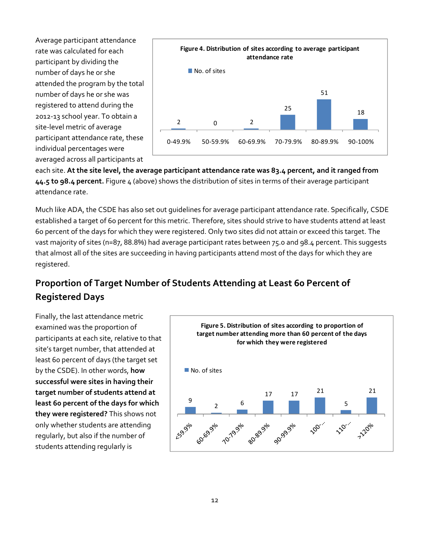Average participant attendance rate was calculated for each participant by dividing the number of days he or she attended the program by the total number of days he or she was registered to attend during the 2012‐13 school year. To obtain a site‐level metric of average participant attendance rate, these individual percentages were averaged across all participants at



each site. **At the site level, the average participant attendance rate was 83.4 percent, and it ranged from 44.5 to 98.4 percent.** Figure 4 (above) shows the distribution of sites in terms of their average participant attendance rate.

Much like ADA, the CSDE has also set out guidelines for average participant attendance rate. Specifically, CSDE established a target of 60 percent for this metric. Therefore, sites should strive to have students attend at least 60 percent of the days for which they were registered. Only two sites did not attain or exceed this target. The vast majority of sites (n=87, 88.8%) had average participant rates between 75.0 and 98.4 percent. This suggests that almost all of the sites are succeeding in having participants attend most of the days for which they are registered.

## **Proportion of Target Number of Students Attending at Least 60 Percent of Registered Days**

Finally, the last attendance metric examined was the proportion of participants at each site, relative to that site's target number, that attended at least 60 percent of days (the target set by the CSDE). In other words, **how successful were sites in having their target number of students attend at least 60 percent of the days for which they were registered?** This shows not only whether students are attending regularly, but also if the number of students attending regularly is

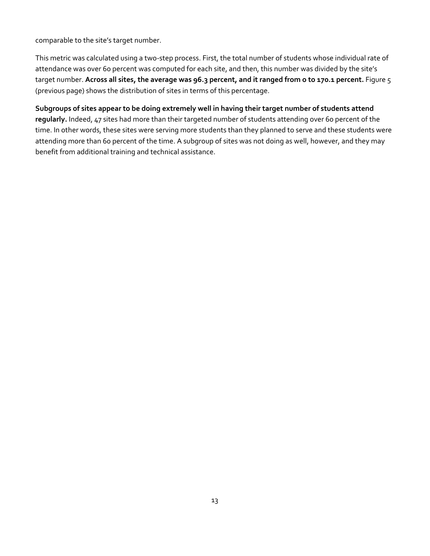comparable to the site's target number.

This metric was calculated using a two‐step process. First, the total number of students whose individual rate of attendance was over 60 percent was computed for each site, and then, this number was divided by the site's target number. **Across all sites, the average was 96.3 percent, and it ranged from o to 170.1 percent.** Figure 5 (previous page) shows the distribution of sites in terms of this percentage.

**Subgroups of sites appear to be doing extremely well in having their target number of students attend regularly.** Indeed, 47 sites had more than their targeted number of students attending over 60 percent of the time. In other words, these sites were serving more students than they planned to serve and these students were attending more than 60 percent of the time. A subgroup of sites was not doing as well, however, and they may benefit from additional training and technical assistance.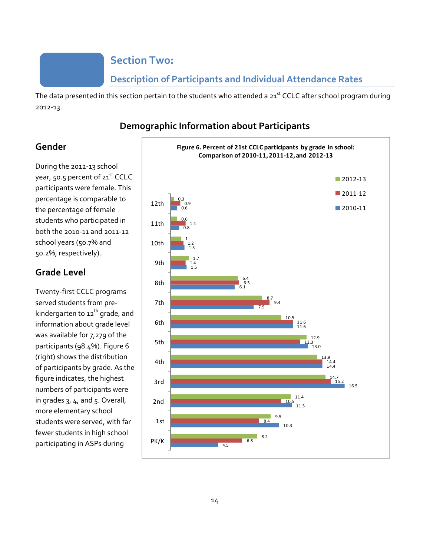### **Section Two:**

### **Description of Participants and Individual Attendance Rates**

The data presented in this section pertain to the students who attended a 21<sup>st</sup> CCLC after school program during 2012‐13.

#### **Demographic Information about Participants**

#### **Gender**

During the 2012‐13 school year, 50.5 percent of 21<sup>st</sup> CCLC participants were female. This percentage is comparable to the percentage of female students who participated in both the 2010‐11 and 2011‐12 school years (50.7% and 50.2%, respectively).

#### **Grade Level**

Twenty‐first CCLC programs served students from pre‐ kindergarten to  $12^{th}$  grade, and information about grade level was available for 7,279 of the participants (98.4%). Figure 6 (right) shows the distribution of participants by grade. As the figure indicates, the highest numbers of participants were in grades 3, 4, and 5. Overall, more elementary school students were served, with far fewer students in high school participating in ASPs during

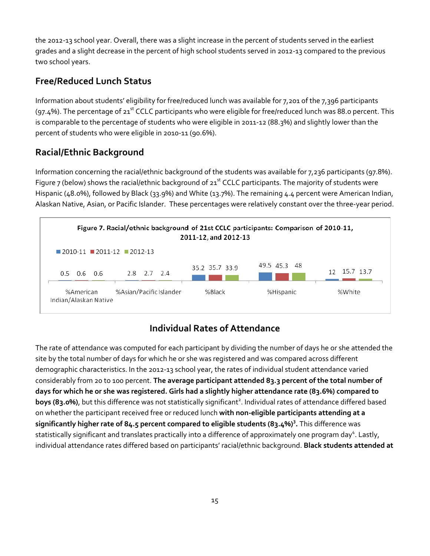the 2012‐13 school year. Overall, there was a slight increase in the percent of students served in the earliest grades and a slight decrease in the percent of high school students served in 2012‐13 compared to the previous two school years.

### **Free/Reduced Lunch Status**

Information about students' eligibility for free/reduced lunch was available for 7,201 of the 7,396 participants (97.4%). The percentage of 21<sup>st</sup> CCLC participants who were eligible for free/reduced lunch was 88.0 percent. This is comparable to the percentage of students who were eligible in 2011‐12 (88.3%) and slightly lower than the percent of students who were eligible in 2010‐11 (90.6%).

### **Racial/Ethnic Background**

Information concerning the racial/ethnic background of the students was available for 7,236 participants (97.8%). Figure 7 (below) shows the racial/ethnic background of  $21^{st}$  CCLC participants. The majority of students were Hispanic (48.0%), followed by Black (33.9%) and White (13.7%). The remaining 4.4 percent were American Indian, Alaskan Native, Asian, or Pacific Islander. These percentages were relatively constant over the three‐year period.



### **Individual Rates of Attendance**

The rate of attendance was computed for each participant by dividing the number of days he or she attended the site by the total number of days for which he or she was registered and was compared across different demographic characteristics. In the 2012‐13 school year, the rates of individual student attendance varied considerably from 20 to 100 percent. **The average participant attended 83.3 percent of the total number of** days for which he or she was registered. Girls had a slightly higher attendance rate (83.6%) compared to boys (83.0%), but this difference was not statistically significant<sup>2</sup>. Individual rates of attendance differed based on whether the participant received free or reduced lunch **with non‐eligible participants attending at a significantly higher rate of 84.5 percent compared to eligible students (83.4%)<sup>3</sup> .** This difference was statistically significant and translates practically into a difference of approximately one program day<sup>4</sup>. Lastly, individual attendance rates differed based on participants' racial/ethnic background. **Black students attended at**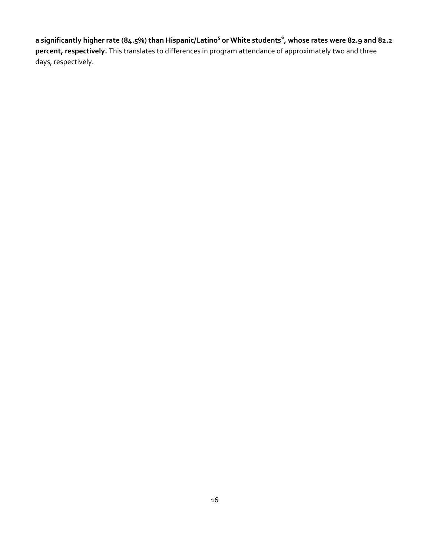a significantly higher rate (84.5%) than Hispanic/Latino<sup>5</sup> or White students<sup>6</sup>, whose rates were 82.9 and 82.2 **percent, respectively.** This translates to differences in program attendance of approximately two and three days, respectively.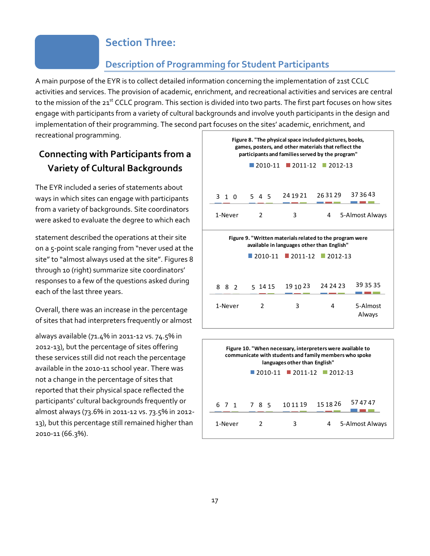#### **Section Three:**

#### **Description of Programming for Student Participants**

A main purpose of the EYR is to collect detailed information concerning the implementation of 21st CCLC activities and services. The provision of academic, enrichment, and recreational activities and services are central to the mission of the 21<sup>st</sup> CCLC program. This section is divided into two parts. The first part focuses on how sites engage with participants from a variety of cultural backgrounds and involve youth participants in the design and implementation of their programming. The second part focuses on the sites' academic, enrichment, and recreational programming.

### **Connecting with Participants from a Variety of Cultural Backgrounds**

The EYR included a series of statements about ways in which sites can engage with participants from a variety of backgrounds. Site coordinators were asked to evaluate the degree to which each

statement described the operations at their site on a 5‐point scale ranging from "never used at the site" to "almost always used at the site". Figures 8 through 10 (right) summarize site coordinators' responses to a few of the questions asked during each of the last three years.

Overall, there was an increase in the percentage of sites that had interpreters frequently or almost

always available (71.4% in 2011‐12 vs. 74.5% in 2012‐13), but the percentage of sites offering these services still did not reach the percentage available in the 2010‐11 school year. There was not a change in the percentage of sites that reported that their physical space reflected the participants' cultural backgrounds frequently or almost always (73.6% in 2011‐12 vs. 73.5% in 2012‐ 13), but this percentage still remained higher than 2010‐11 (66.3%).

|                                                                                                                                                                     | $500$ cm and sheep addedning christmache and |                        |                        |                    |
|---------------------------------------------------------------------------------------------------------------------------------------------------------------------|----------------------------------------------|------------------------|------------------------|--------------------|
| Figure 8. "The physical space included pictures, books,<br>games, posters, and other materials that reflect the<br>participants and families served by the program" |                                              |                        |                        |                    |
|                                                                                                                                                                     | $\blacksquare$ 2010-11                       | ■ 2011-12              | $\blacksquare$ 2012-13 |                    |
| 3 1 0                                                                                                                                                               | 545                                          | 24 19 21               | 263129                 | 37 36 43           |
| 1-Never                                                                                                                                                             | $\mathfrak{p}$                               | 3                      | 4                      | 5-Almost Always    |
| Figure 9. "Written materials related to the program were<br>available in languages other than English"                                                              |                                              |                        |                        |                    |
|                                                                                                                                                                     | 2010-11                                      | $\blacksquare$ 2011-12 | $12012 - 13$           |                    |
| 8<br>- 8<br>$\mathcal{P}$                                                                                                                                           | 5 14 15                                      | 19 10 23               | 24 24 23               | 39 35 35           |
| 1-Never                                                                                                                                                             | $\mathcal{P}$                                | 3                      | 4                      | 5-Almost<br>Always |

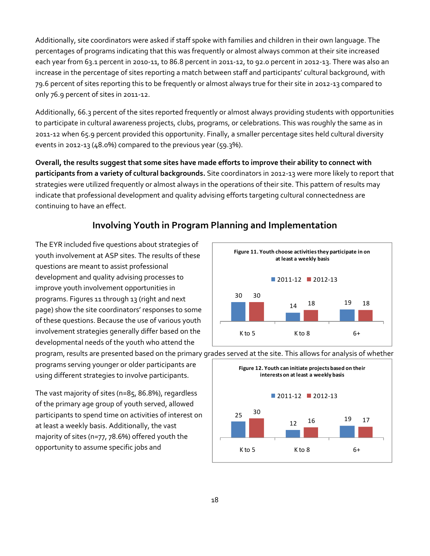Additionally, site coordinators were asked if staff spoke with families and children in their own language. The percentages of programs indicating that this was frequently or almost always common at their site increased each year from 63.1 percent in 2010‐11, to 86.8 percent in 2011‐12, to 92.0 percent in 2012‐13. There was also an increase in the percentage of sites reporting a match between staff and participants' cultural background, with 79.6 percent of sites reporting this to be frequently or almost always true for their site in 2012‐13 compared to only 76.9 percent of sites in 2011‐12.

Additionally, 66.3 percent of the sites reported frequently or almost always providing students with opportunities to participate in cultural awareness projects, clubs, programs, or celebrations. This was roughly the same as in 2011‐12 when 65.9 percent provided this opportunity. Finally, a smaller percentage sites held cultural diversity events in 2012‐13 (48.0%) compared to the previous year (59.3%).

**Overall, the results suggest that some sites have made efforts to improve their ability to connect with participants from a variety of cultural backgrounds.** Site coordinators in 2012‐13 were more likely to report that strategies were utilized frequently or almost always in the operations of their site. This pattern of results may indicate that professional development and quality advising efforts targeting cultural connectedness are continuing to have an effect.

#### **Involving Youth in Program Planning and Implementation**

The EYR included five questions about strategies of youth involvement at ASP sites. The results of these questions are meant to assist professional development and quality advising processes to improve youth involvement opportunities in programs. Figures 11 through 13 (right and next page) show the site coordinators' responses to some of these questions. Because the use of various youth involvement strategies generally differ based on the developmental needs of the youth who attend the

programs serving younger or older participants are using different strategies to involve participants.

The vast majority of sites (n=85, 86.8%), regardless of the primary age group of youth served, allowed participants to spend time on activities of interest on at least a weekly basis. Additionally, the vast majority of sites (n=77, 78.6%) offered youth the opportunity to assume specific jobs and





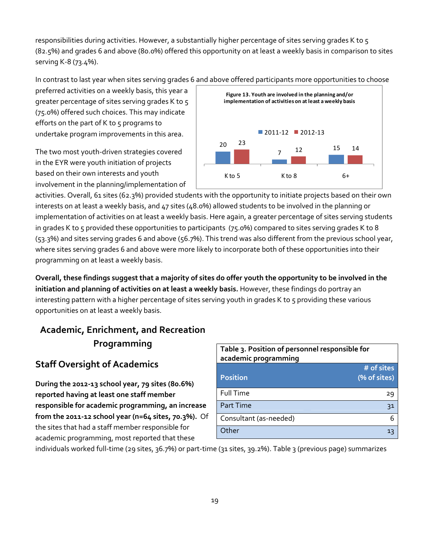responsibilities during activities. However, a substantially higher percentage of sites serving grades K to 5 (82.5%) and grades 6 and above (80.0%) offered this opportunity on at least a weekly basis in comparison to sites serving K‐8 (73.4%).

In contrast to last year when sites serving grades 6 and above offered participants more opportunities to choose

preferred activities on a weekly basis, this year a greater percentage of sites serving grades K to 5 (75.0%) offered such choices. This may indicate efforts on the part of K to 5 programs to undertake program improvements in this area.

The two most youth‐driven strategies covered in the EYR were youth initiation of projects based on their own interests and youth involvement in the planning/implementation of



activities. Overall, 61 sites (62.3%) provided students with the opportunity to initiate projects based on their own interests on at least a weekly basis, and 47 sites (48.0%) allowed students to be involved in the planning or implementation of activities on at least a weekly basis. Here again, a greater percentage of sites serving students in grades K to 5 provided these opportunities to participants (75.0%) compared to sites serving grades K to 8 (53.3%) and sites serving grades 6 and above (56.7%). This trend was also different from the previous school year, where sites serving grades 6 and above were more likely to incorporate both of these opportunities into their programming on at least a weekly basis.

Overall, these findings suggest that a majority of sites do offer youth the opportunity to be involved in the **initiation and planning of activities on at least a weekly basis.** However, these findings do portray an interesting pattern with a higher percentage of sites serving youth in grades K to 5 providing these various opportunities on at least a weekly basis.

## **Academic, Enrichment, and Recreation Programming**

### **Staff Oversight of Academics**

**During the 2012‐13 school year, 79 sites (80.6%) reported having at least one staff member responsible for academic programming, an increase from the 2011‐12 school year (n=64 sites, 70.3%).** Of the sites that had a staff member responsible for academic programming, most reported that these

| Table 3. Position of personnel responsible for<br>academic programming |                            |  |
|------------------------------------------------------------------------|----------------------------|--|
| <b>Position</b>                                                        | # of sites<br>(% of sites) |  |
| <b>Full Time</b>                                                       | 29                         |  |
| <b>Part Time</b>                                                       | 31                         |  |
| Consultant (as-needed)                                                 | 6                          |  |
| Other                                                                  | 13                         |  |

individuals worked full‐time (29 sites, 36.7%) or part‐time (31 sites, 39.2%). Table 3 (previous page) summarizes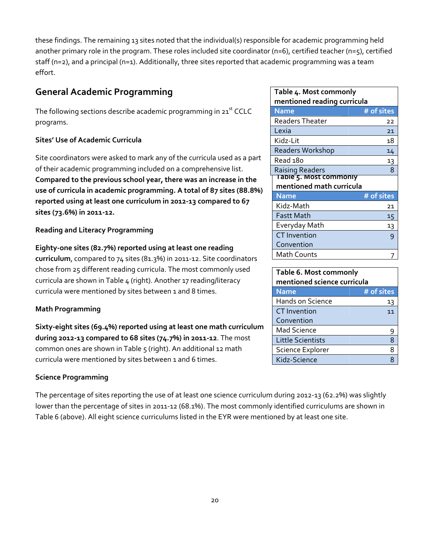these findings. The remaining 13 sites noted that the individual(s) responsible for academic programming held another primary role in the program. These roles included site coordinator (n=6), certified teacher (n=5), certified staff (n=2), and a principal (n=1). Additionally, three sites reported that academic programming was a team effort.

### **General Academic Programming**

The following sections describe academic programming in  $21<sup>st</sup>$  CCLC programs.

#### **Sites' Use of Academic Curricula**

Site coordinators were asked to mark any of the curricula used as a part of their academic programming included on a comprehensive list. **Compared to the previous school year, there was an increase in the use of curricula in academic programming. A total of 87 sites (88.8%) reported using at least one curriculum in 2012‐13 compared to 67 sites (73.6%) in 2011‐12.**

#### **Reading and Literacy Programming**

**Eighty‐one sites (82.7%) reported using at least one reading curriculum**, compared to 74 sites (81.3%) in 2011‐12. Site coordinators chose from 25 different reading curricula. The most commonly used curricula are shown in Table 4 (right). Another 17 reading/literacy curricula were mentioned by sites between 1 and 8 times.

#### **Math Programming**

**Sixty‐eight sites (69.4%) reported using at least one math curriculum during 2012‐13 compared to 68 sites (74.7%) in 2011‐12**. The most common ones are shown in Table 5 (right). An additional 12 math curricula were mentioned by sites between 1 and 6 times.

#### **Science Programming**

The percentage of sites reporting the use of at least one science curriculum during 2012‐13 (62.2%) was slightly lower than the percentage of sites in 2011‐12 (68.1%). The most commonly identified curriculums are shown in Table 6 (above). All eight science curriculums listed in the EYR were mentioned by at least one site.

| Table 4. Most commonly         |            |  |
|--------------------------------|------------|--|
| mentioned reading curricula    |            |  |
| <b>Name</b>                    | # of sites |  |
| <b>Readers Theater</b>         | 22         |  |
| Lexia                          | 21         |  |
| Kidz-Lit                       | 18         |  |
| <b>Readers Workshop</b>        | 14         |  |
| Read 180                       | 13         |  |
| <b>Raising Readers</b>         | 8          |  |
| <u> Table 5. Most commonly</u> |            |  |
| mentioned math curricula       |            |  |
| <b>Name</b>                    | # of sites |  |
| Kidz-Math                      | 21         |  |
| <b>Fastt Math</b>              | 15         |  |
| Everyday Math                  | 13         |  |
| <b>CT</b> Invention            | 9          |  |
| Convention                     |            |  |
| Math Counts                    |            |  |

| Table 6. Most commonly<br>mentioned science curricula |            |  |
|-------------------------------------------------------|------------|--|
| <b>Name</b>                                           | # of sites |  |
| Hands on Science                                      | 13         |  |
| <b>CT</b> Invention                                   | 11         |  |
| Convention                                            |            |  |
| <b>Mad Science</b>                                    | 9          |  |
| <b>Little Scientists</b>                              | 8          |  |
| Science Explorer                                      | 8          |  |
| Kidz-Science                                          |            |  |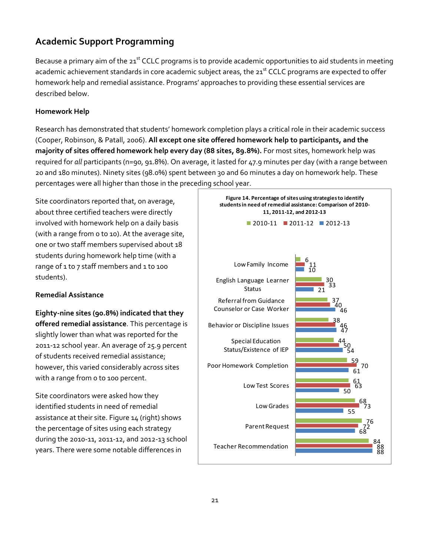#### **Academic Support Programming**

Because a primary aim of the  $21^{st}$  CCLC programs is to provide academic opportunities to aid students in meeting academic achievement standards in core academic subject areas, the 21<sup>st</sup> CCLC programs are expected to offer homework help and remedial assistance. Programs' approaches to providing these essential services are described below.

#### **Homework Help**

Research has demonstrated that students' homework completion plays a critical role in their academic success (Cooper, Robinson, & Patall, 2006). **All except one site offered homework help to participants, and the majority of sites offered homework help every day (88 sites, 89.8%).** For most sites, homework help was required for *all* participants (n=90, 91.8%). On average, it lasted for 47.9 minutes per day (with a range between 20 and 180 minutes). Ninety sites (98.0%) spent between 30 and 60 minutes a day on homework help. These percentages were all higher than those in the preceding school year.

Site coordinators reported that, on average, about three certified teachers were directly involved with homework help on a daily basis (with a range from 0 to 10). At the average site, one or two staff members supervised about 18 students during homework help time (with a range of 1 to 7 staff members and 1 to 100 students).

#### **Remedial Assistance**

**Eighty‐nine sites (90.8%) indicated that they offered remedial assistance**. This percentage is slightly lower than what was reported for the 2011‐12 school year. An average of 25.9 percent of students received remedial assistance; however, this varied considerably across sites with a range from o to 100 percent.

Site coordinators were asked how they identified students in need of remedial assistance at their site. Figure 14 (right) shows the percentage of sites using each strategy during the 2010‐11, 2011‐12, and 2012‐13 school years. There were some notable differences in

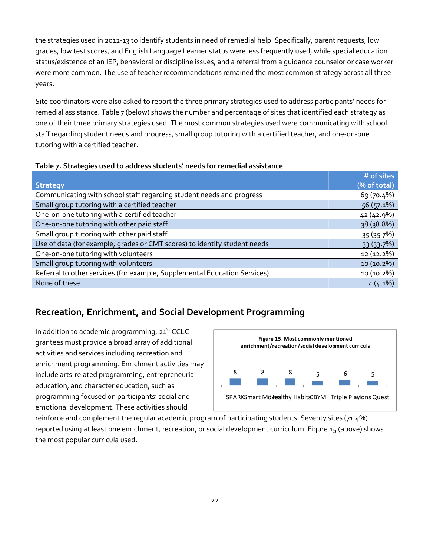the strategies used in 2012‐13 to identify students in need of remedial help. Specifically, parent requests, low grades, low test scores, and English Language Learner status were less frequently used, while special education status/existence of an IEP, behavioral or discipline issues, and a referral from a guidance counselor or case worker were more common. The use of teacher recommendations remained the most common strategy across all three years.

Site coordinators were also asked to report the three primary strategies used to address participants' needs for remedial assistance. Table 7 (below) shows the number and percentage of sites that identified each strategy as one of their three primary strategies used. The most common strategies used were communicating with school staff regarding student needs and progress, small group tutoring with a certified teacher, and one‐on‐one tutoring with a certified teacher.

| Table 7. Strategies used to address students' needs for remedial assistance |              |
|-----------------------------------------------------------------------------|--------------|
|                                                                             | # of sites   |
| <b>Strategy</b>                                                             | (% of total) |
| Communicating with school staff regarding student needs and progress        | 69 (70.4%)   |
| Small group tutoring with a certified teacher                               | $56(57.1\%)$ |
| One-on-one tutoring with a certified teacher                                | 42 (42.9%)   |
| One-on-one tutoring with other paid staff                                   | 38 (38.8%)   |
| Small group tutoring with other paid staff                                  | 35 (35.7%)   |
| Use of data (for example, grades or CMT scores) to identify student needs   | 33 (33.7%)   |
| One-on-one tutoring with volunteers                                         | 12 (12.2%)   |
| Small group tutoring with volunteers                                        | 10 (10.2%)   |
| Referral to other services (for example, Supplemental Education Services)   | 10 (10.2%)   |
| None of these                                                               | $4(4.1\%)$   |

#### **Recreation, Enrichment, and Social Development Programming**

In addition to academic programming,  $21<sup>st</sup> CCLC$ grantees must provide a broad array of additional activities and services including recreation and enrichment programming. Enrichment activities may include arts‐related programming, entrepreneurial education, and character education, such as programming focused on participants' social and emotional development. These activities should



reinforce and complement the regular academic program of participating students. Seventy sites (71.4%) reported using at least one enrichment, recreation, or social development curriculum. Figure 15 (above) shows the most popular curricula used.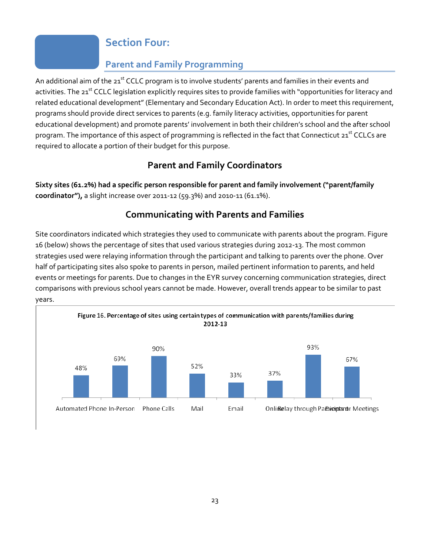### **Section Four:**

### **Parent and Family Programming**

An additional aim of the 21<sup>st</sup> CCLC program is to involve students' parents and families in their events and activities. The 21<sup>st</sup> CCLC legislation explicitly requires sites to provide families with "opportunities for literacy and related educational development"(Elementary and Secondary Education Act). In order to meet this requirement, programs should provide direct services to parents (e.g. family literacy activities, opportunities for parent educational development) and promote parents' involvement in both their children's school and the after school program. The importance of this aspect of programming is reflected in the fact that Connecticut 21<sup>st</sup> CCLCs are required to allocate a portion of their budget for this purpose.

### **Parent and Family Coordinators**

**Sixty sites (61.2%) had a specific person responsible for parent and family involvement ("parent/family coordinator"),** a slight increase over 2011‐12 (59.3%) and 2010‐11 (61.1%).

### **Communicating with Parents and Families**

Site coordinators indicated which strategies they used to communicate with parents about the program. Figure 16 (below) shows the percentage of sites that used various strategies during 2012‐13. The most common strategies used were relaying information through the participant and talking to parents over the phone. Over half of participating sites also spoke to parents in person, mailed pertinent information to parents, and held events or meetings for parents. Due to changes in the EYR survey concerning communication strategies, direct comparisons with previous school years cannot be made. However, overall trends appear to be similar to past years.

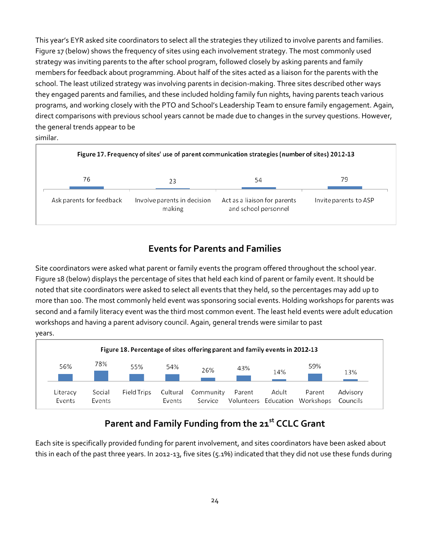This year's EYR asked site coordinators to select all the strategies they utilized to involve parents and families. Figure 17 (below) shows the frequency of sites using each involvement strategy. The most commonly used strategy was inviting parents to the after school program, followed closely by asking parents and family members for feedback about programming. About half of the sites acted as a liaison for the parents with the school. The least utilized strategy was involving parents in decision‐making. Three sites described other ways they engaged parents and families, and these included holding family fun nights, having parents teach various programs, and working closely with the PTO and School's Leadership Team to ensure family engagement. Again, direct comparisons with previous school years cannot be made due to changes in the survey questions. However, the general trends appear to be similar.



#### **Events for Parents and Families**

Site coordinators were asked what parent or family events the program offered throughout the school year. Figure 18 (below) displays the percentage of sites that held each kind of parent or family event. It should be noted that site coordinators were asked to select all events that they held, so the percentages may add up to more than 100. The most commonly held event was sponsoring social events. Holding workshops for parents was second and a family literacy event was the third most common event. The least held events were adult education workshops and having a parent advisory council. Again, general trends were similar to past years.



### **Parent and Family Funding from the 21st CCLC Grant**

Each site is specifically provided funding for parent involvement, and sites coordinators have been asked about this in each of the past three years. In 2012‐13, five sites (5.1%) indicated that they did not use these funds during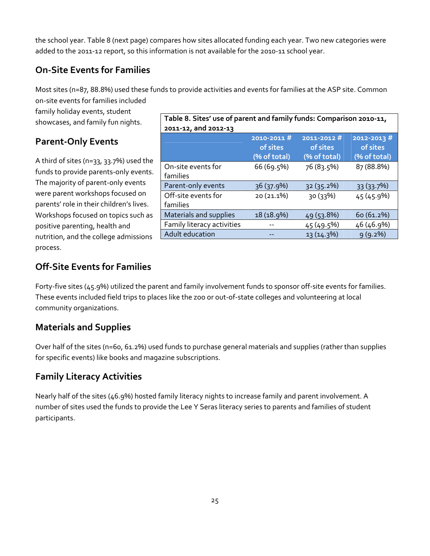the school year. Table 8 (next page) compares how sites allocated funding each year. Two new categories were added to the 2011-12 report, so this information is not available for the 2010-11 school year.

### **On‐Site Events for Families**

Most sites (n=87, 88.8%) used these funds to provide activities and events for families at the ASP site. Common on‐site events for families included

family holiday events, student showcases, and family fun nights.

### **Parent‐Only Events**

A third of sites (n=33, 33.7%) used the funds to provide parents‐only events. The majority of parent‐only events were parent workshops focused on parents' role in their children's lives. Workshops focused on topics such as positive parenting, health and nutrition, and the college admissions process.

| Table 8. Sites' use of parent and family funds: Comparison 2010-11, |                                        |                                        |                                             |
|---------------------------------------------------------------------|----------------------------------------|----------------------------------------|---------------------------------------------|
| 2011-12, and 2012-13                                                |                                        |                                        |                                             |
|                                                                     | 2010-2011#<br>of sites<br>(% of total) | 2011-2012#<br>of sites<br>(% of total) | $2012 - 2013$ #<br>of sites<br>(% of total) |
| On-site events for<br>families                                      | 66 (69.5%)                             | 76(83.5%)                              | 87 (88.8%)                                  |
| Parent-only events                                                  | 36 (37.9%)                             | 32 (35.2%)                             | 33 (33.7%)                                  |
| Off-site events for<br>families                                     | 20 (21.1%)                             | 30(33%)                                | 45 (45.9%)                                  |
| Materials and supplies                                              | 18 (18.9%)                             | 49 (53.8%)                             | 60 (61.2%)                                  |
| Family literacy activities                                          |                                        | 45 (49.5%)                             | 46 (46.9%)                                  |
| Adult education                                                     |                                        | 13 (14.3%)                             | 9(9.2%)                                     |

### **Off‐Site Events for Families**

Forty-five sites (45.9%) utilized the parent and family involvement funds to sponsor off-site events for families. These events included field trips to places like the zoo or out‐of‐state colleges and volunteering at local community organizations.

#### **Materials and Supplies**

Over half of the sites (n=60, 61.2%) used funds to purchase general materials and supplies (rather than supplies for specific events) like books and magazine subscriptions.

### **Family Literacy Activities**

Nearly half of the sites (46.9%) hosted family literacy nights to increase family and parent involvement. A number of sites used the funds to provide the Lee Y Seras literacy series to parents and families of student participants.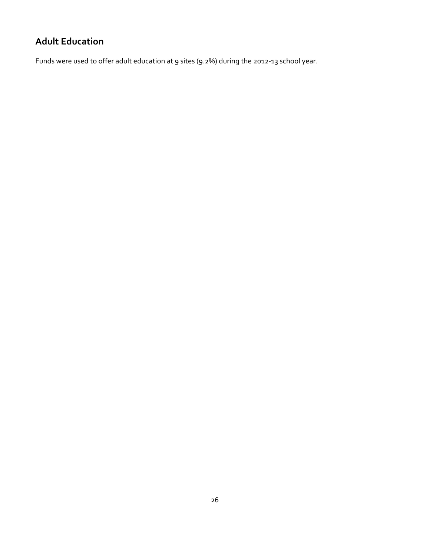## **Adult Education**

Funds were used to offer adult education at 9 sites (9.2%) during the 2012‐13 school year.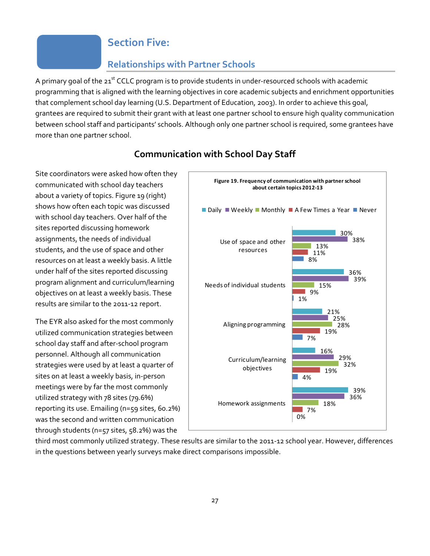#### **Section Five:**

#### **Relationships with Partner Schools**

A primary goal of the 21<sup>st</sup> CCLC program is to provide students in under-resourced schools with academic programming that is aligned with the learning objectives in core academic subjects and enrichment opportunities that complement school day learning (U.S. Department of Education, 2003). In order to achieve this goal, grantees are required to submit their grant with at least one partner school to ensure high quality communication between school staff and participants' schools. Although only one partner school is required, some grantees have more than one partner school.



communicated with school day teachers about a variety of topics. Figure 19 (right) shows how often each topic was discussed with school day teachers. Over half of the sites reported discussing homework assignments, the needs of individual students, and the use of space and other resources on at least a weekly basis. A little under half of the sites reported discussing program alignment and curriculum/learning objectives on at least a weekly basis. These

Site coordinators were asked how often they

The EYR also asked for the most commonly utilized communication strategies between school day staff and after‐school program personnel. Although all communication strategies were used by at least a quarter of sites on at least a weekly basis, in‐person meetings were by far the most commonly utilized strategy with 78 sites (79.6%) reporting its use. Emailing (n=59 sites, 60.2%) was the second and written communication through students (n=57 sites, 58.2%) was the

results are similar to the 2011‐12 report.

third most commonly utilized strategy. These results are similar to the 2011‐12 school year. However, differences in the questions between yearly surveys make direct comparisons impossible.

#### **Communication with School Day Staff**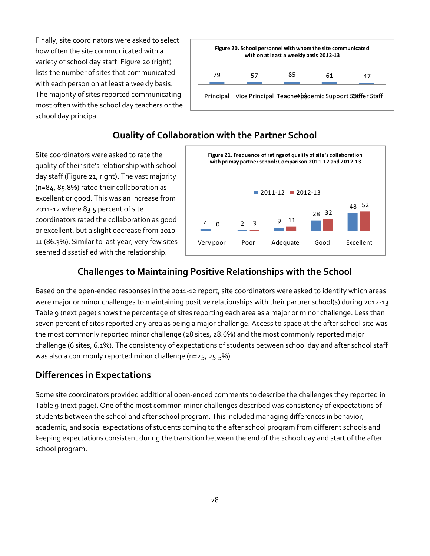Finally, site coordinators were asked to select how often the site communicated with a variety of school day staff. Figure 20 (right) lists the number of sites that communicated with each person on at least a weekly basis. The majority of sites reported communicating most often with the school day teachers or the school day principal.



#### **Quality of Collaboration with the Partner School**

Site coordinators were asked to rate the quality of their site's relationship with school day staff (Figure 21, right). The vast majority (n=84, 85.8%) rated their collaboration as excellent or good. This was an increase from 2011‐12 where 83.5 percent of site coordinators rated the collaboration as good or excellent, but a slight decrease from 2010‐ 11 (86.3%). Similar to last year, very few sites seemed dissatisfied with the relationship.



#### **Challenges to Maintaining Positive Relationships with the School**

Based on the open‐ended responses in the 2011‐12 report, site coordinators were asked to identify which areas were major or minor challenges to maintaining positive relationships with their partner school(s) during 2012-13. Table 9 (next page) shows the percentage of sites reporting each area as a major or minor challenge. Less than seven percent of sites reported any area as being a major challenge. Access to space at the after school site was the most commonly reported minor challenge (28 sites, 28.6%) and the most commonly reported major challenge (6 sites, 6.1%). The consistency of expectations of students between school day and after school staff was also a commonly reported minor challenge (n=25, 25.5%).

#### **Differences in Expectations**

Some site coordinators provided additional open‐ended comments to describe the challenges they reported in Table 9 (next page). One of the most common minor challenges described was consistency of expectations of students between the school and after school program. This included managing differences in behavior, academic, and social expectations of students coming to the after school program from different schools and keeping expectations consistent during the transition between the end of the school day and start of the after school program.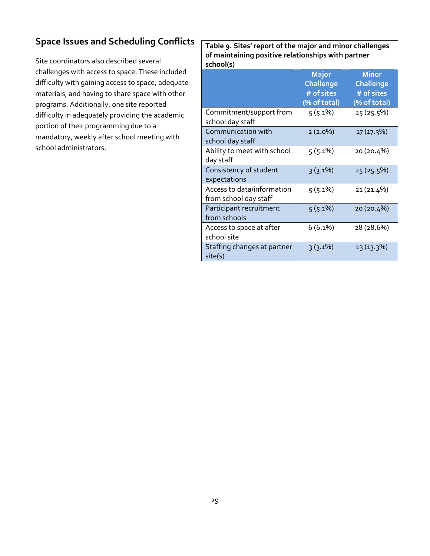### **Space Issues and Scheduling Conflicts**

Site coordinators also described several challenges with access to space. These included difficulty with gaining access to space, adequate materials, and having to share space with other programs. Additionally, one site reported difficulty in adequately providing the academic portion of their programming due to a mandatory, weekly after school meeting with school administrators.

**Table 9. Sites' report of the major and minor challenges of maintaining positive relationships with partner school(s)**

|                                                     | <b>Major</b><br><b>Challenge</b><br># of sites<br>(% of total) | <b>Minor</b><br><b>Challenge</b><br># of sites<br>(% of total) |
|-----------------------------------------------------|----------------------------------------------------------------|----------------------------------------------------------------|
| Commitment/support from<br>school day staff         | $5(5.1\%)$                                                     | 25 (25.5%)                                                     |
| Communication with<br>school day staff              | $2(2.0\%)$                                                     | 17 (17.3%)                                                     |
| Ability to meet with school<br>day staff            | $5(5.1\%)$                                                     | 20 (20.4%)                                                     |
| Consistency of student<br>expectations              | $3(3.1\%)$                                                     | 25 (25.5%)                                                     |
| Access to data/information<br>from school day staff | $5(5.1\%)$                                                     | 21 (21.4%)                                                     |
| Participant recruitment<br>from schools             | $5(5.1\%)$                                                     | 20 (20.4%)                                                     |
| Access to space at after<br>school site             | $6(6.1\%)$                                                     | 28 (28.6%)                                                     |
| Staffing changes at partner<br>site(s)              | $3(3.1\%)$                                                     | 13 (13.3%)                                                     |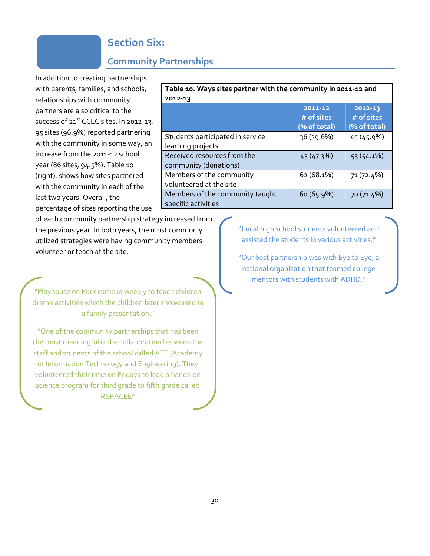### **Section Six:**

#### **Community Partnerships**

In addition to creating partnerships with parents, families, and schools, relationships with community partners are also critical to the success of  $21<sup>st</sup>$  CCLC sites. In 2012-13, 95 sites (96.9%) reported partnering with the community in some way, an increase from the 2011‐12 school year (86 sites, 94.5%). Table 10 (right), shows how sites partnered with the community in each of the last two years. Overall, the percentage of sites reporting the use

| Table 10. Ways sites partner with the community in 2011-12 and |                                       |                                           |
|----------------------------------------------------------------|---------------------------------------|-------------------------------------------|
| 2012-13                                                        |                                       |                                           |
|                                                                | 2011-12<br># of sites<br>(% of total) | $2012 - 13$<br># of sites<br>(% of total) |
| Students participated in service<br>learning projects          | 36(39.6%)                             | 45(45.9%)                                 |
| Received resources from the<br>community (donations)           | 43 (47.3%)                            | $53(54.1\%)$                              |
| Members of the community<br>volunteered at the site            | 62(68.1%)                             | 71 (72.4%)                                |
| Members of the community taught<br>specific activities         | 60(65.9%)                             | 70 (71.4%)                                |

of each community partnership strategy increased from the previous year. In both years, the most commonly utilized strategies were having community members volunteer or teach at the site.

"Playhouse on Park came in weekly to teach children drama activities which the children later showcased in a family presentation."

"One of the community partnerships that has been the most meaningful is the collaboration between the staff and students of the school called ATE (Academy of Information Technology and Engineering). They volunteered their time on Fridays to lead a hands‐on science program for third grade to fifth grade called RSPACEE"

"Local high school students volunteered and assisted the students in various activities."

"Our best partnership was with Eye to Eye, a national organization that teamed college mentors with students with ADHD."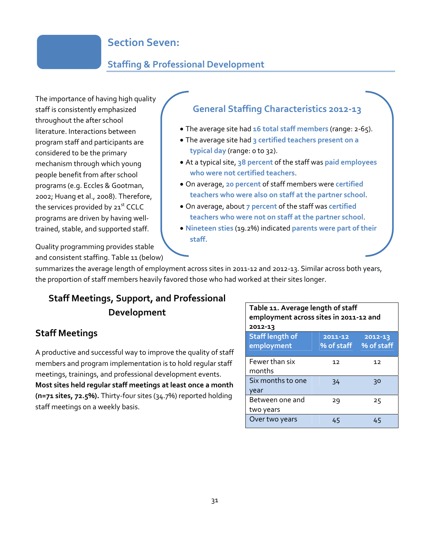### **Section Seven:**

#### **Staffing & Professional Development**

The importance of having high quality staff is consistently emphasized throughout the after school literature. Interactions between program staff and participants are considered to be the primary mechanism through which young people benefit from after school programs (e.g. Eccles & Gootman, 2002; Huang et al., 2008). Therefore, the services provided by  $21^{st}$  CCLC programs are driven by having well‐ trained, stable, and supported staff.

#### **General Staffing Characteristics 2012‐13**

- The average site had **16 total staff members** (range: 2‐65).
- The average site had **3 certified teachers present on a typical day** (range: 0 to 32).
- At a typical site, **38 percent** of the staff was **paid employees who were not certified teachers**.
- On average, **20 percent** of staff members were **certified teachers who were also on staff at the partner school**.
- On average, about **7 percent** of the staff was **certified teachers who were not on staff at the partner school**.
- **Nineteen sties** (19.2%) indicated **parents were part of their staff.**

Quality programming provides stable and consistent staffing. Table 11 (below)

summarizes the average length of employment across sites in 2011‐12 and 2012‐13. Similar across both years, the proportion of staff members heavily favored those who had worked at their sites longer.

### **Staff Meetings, Support, and Professional Development**

#### **Staff Meetings**

A productive and successful way to improve the quality of staff members and program implementation is to hold regular staff meetings, trainings, and professional development events. **Most sites held regular staff meetings at least once a month (n=71 sites, 72.5%).** Thirty‐four sites (34.7%) reported holding staff meetings on a weekly basis.

| Table 11. Average length of staff<br>employment across sites in 2011-12 and<br>2012-13 |                       |                       |
|----------------------------------------------------------------------------------------|-----------------------|-----------------------|
| <b>Staff length of</b><br>employment                                                   | 2011-12<br>% of staff | 2012-13<br>% of staff |
| Fewer than six<br>months                                                               | 12                    | 12                    |
| Six months to one<br>vear                                                              | 34                    | 30                    |
| Between one and<br>two years                                                           | 29                    | 25                    |
| Over two years                                                                         |                       |                       |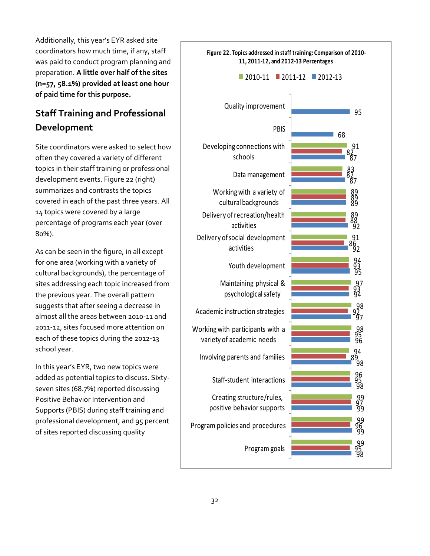Additionally, this year's EYR asked site coordinators how much time, if any, staff was paid to conduct program planning and preparation. **A little over half of the sites (n=57, 58.1%) provided at least one hour of paid time for this purpose.**

### **Staff Training and Professional Development**

Site coordinators were asked to select how often they covered a variety of different topics in their staff training or professional development events. Figure 22 (right) summarizes and contrasts the topics covered in each of the past three years. All 14 topics were covered by a large percentage of programs each year (over 80%).

As can be seen in the figure, in all except for one area (working with a variety of cultural backgrounds), the percentage of sites addressing each topic increased from the previous year. The overall pattern suggests that after seeing a decrease in almost all the areas between 2010‐11 and 2011‐12, sites focused more attention on each of these topics during the 2012‐13 school year.

In this year's EYR, two new topics were added as potential topics to discuss. Sixty‐ seven sites (68.7%) reported discussing Positive Behavior Intervention and Supports (PBIS) during staff training and professional development, and 95 percent of sites reported discussing quality

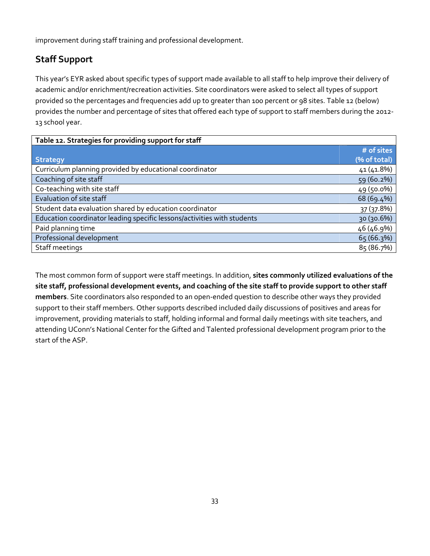improvement during staff training and professional development.

## **Staff Support**

This year's EYR asked about specific types of support made available to all staff to help improve their delivery of academic and/or enrichment/recreation activities. Site coordinators were asked to select all types of support provided so the percentages and frequencies add up to greater than 100 percent or 98 sites. Table 12 (below) provides the number and percentage of sites that offered each type of support to staff members during the 2012‐ 13 school year.

| Table 12. Strategies for providing support for staff                    |              |  |  |  |
|-------------------------------------------------------------------------|--------------|--|--|--|
|                                                                         | # of sites   |  |  |  |
| <b>Strategy</b>                                                         | (% of total) |  |  |  |
| Curriculum planning provided by educational coordinator                 | 41 (41.8%)   |  |  |  |
| Coaching of site staff                                                  | 59 (60.2%)   |  |  |  |
| Co-teaching with site staff                                             | 49 (50.0%)   |  |  |  |
| Evaluation of site staff                                                | 68 (69.4%)   |  |  |  |
| Student data evaluation shared by education coordinator                 | 37 (37.8%)   |  |  |  |
| Education coordinator leading specific lessons/activities with students | 30 (30.6%)   |  |  |  |
| Paid planning time                                                      | 46 (46.9%)   |  |  |  |
| Professional development                                                | 65 (66.3%)   |  |  |  |
| Staff meetings                                                          | 85 (86.7%)   |  |  |  |

The most common form of support were staff meetings. In addition, **sites commonly utilized evaluations of the** site staff, professional development events, and coaching of the site staff to provide support to other staff **members**. Site coordinators also responded to an open‐ended question to describe other ways they provided support to their staff members. Other supports described included daily discussions of positives and areas for improvement, providing materials to staff, holding informal and formal daily meetings with site teachers, and attending UConn's National Center for the Gifted and Talented professional development program prior to the start of the ASP.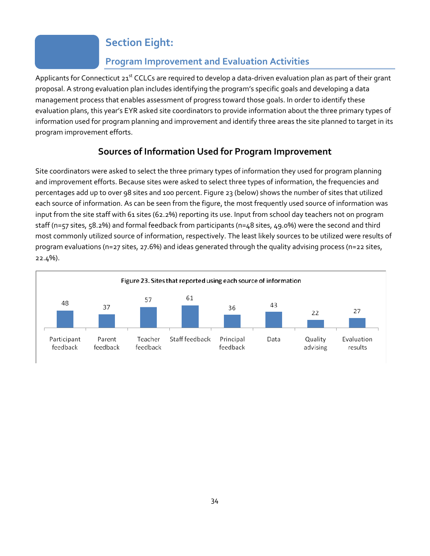## **Section Eight:**

### **Program Improvement and Evaluation Activities**

Applicants for Connecticut  $21^{st}$  CCLCs are required to develop a data-driven evaluation plan as part of their grant proposal. A strong evaluation plan includes identifying the program's specific goals and developing a data management process that enables assessment of progress toward those goals. In order to identify these evaluation plans, this year's EYR asked site coordinators to provide information about the three primary types of information used for program planning and improvement and identify three areas the site planned to target in its program improvement efforts.

## **Sources of Information Used for Program Improvement**

Site coordinators were asked to select the three primary types of information they used for program planning and improvement efforts. Because sites were asked to select three types of information, the frequencies and percentages add up to over 98 sites and 100 percent. Figure 23 (below) shows the number of sites that utilized each source of information. As can be seen from the figure, the most frequently used source of information was input from the site staff with 61 sites (62.2%) reporting its use. Input from school day teachers not on program staff (n=57 sites, 58.2%) and formal feedback from participants (n=48 sites, 49.0%) were the second and third most commonly utilized source of information, respectively. The least likely sources to be utilized were results of program evaluations (n=27 sites, 27.6%) and ideas generated through the quality advising process (n=22 sites, 22.4%).

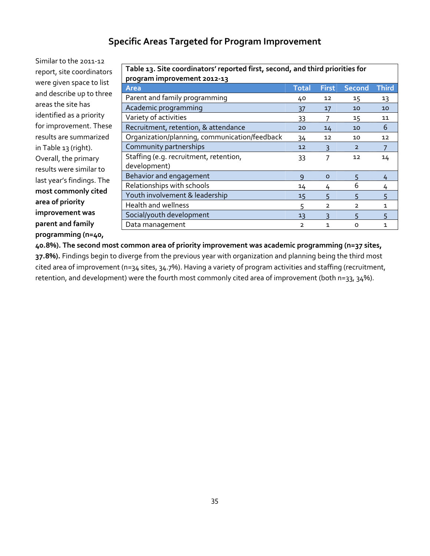#### **Specific Areas Targeted for Program Improvement**

Similar to the 2011‐12 report, site coordinators were given space to list and describe up to three areas the site has identified as a priority for improvement. These results are summarized in Table 13 (right). Overall, the primary results were similar to last year's findings. The **most commonly cited area of priority improvement was parent and family programming (n=40,**

| Table 13. Site coordinators' reported first, second, and third priorities for |               |                |                |              |
|-------------------------------------------------------------------------------|---------------|----------------|----------------|--------------|
| program improvement 2012-13                                                   |               |                |                |              |
| Area                                                                          | <b>Total</b>  | <b>First</b>   | <b>Second</b>  | <b>Third</b> |
| Parent and family programming                                                 | 40            | 12             | 15             | 13           |
| Academic programming                                                          | 37            | 17             | 10             | 10           |
| Variety of activities                                                         | 33            | 7              | 15             | 11           |
| Recruitment, retention, & attendance                                          | 20            | 14             | 10             | 6            |
| Organization/planning, communication/feedback                                 | 34            | 12             | 10             | 12           |
| Community partnerships                                                        | 12            | 3              | $\overline{2}$ |              |
| Staffing (e.g. recruitment, retention,                                        | 33            | 7              | 12             | 14           |
| development)                                                                  |               |                |                |              |
| Behavior and engagement                                                       | $\mathsf{Q}$  | $\Omega$       | 5              | 4            |
| Relationships with schools                                                    | 14            | 4              | 6              | 4            |
| Youth involvement & leadership                                                | 15            | 5              | 5              | 5            |
| Health and wellness                                                           | 5             | $\overline{2}$ | $\overline{2}$ | 1            |
| Social/youth development                                                      | 13            | ξ              | 5              | 5            |
| Data management                                                               | $\mathcal{P}$ | 1              | ο              | 1            |

**40.8%). The second most common area of priority improvement was academic programming (n=37 sites, 37.8%).** Findings begin to diverge from the previous year with organization and planning being the third most cited area of improvement (n=34 sites, 34.7%). Having a variety of program activities and staffing (recruitment, retention, and development) were the fourth most commonly cited area of improvement (both n=33, 34%).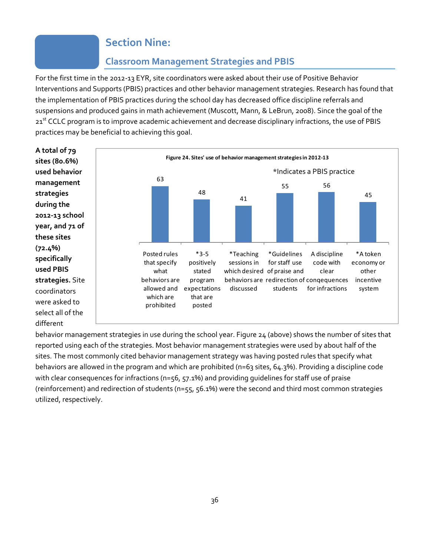### **Section Nine:**

#### **Classroom Management Strategies and PBIS**

For the first time in the 2012‐13 EYR, site coordinators were asked about their use of Positive Behavior Interventions and Supports (PBIS) practices and other behavior management strategies. Research has found that the implementation of PBIS practices during the school day has decreased office discipline referrals and suspensions and produced gains in math achievement (Muscott, Mann, & LeBrun, 2008). Since the goal of the 21<sup>st</sup> CCLC program is to improve academic achievement and decrease disciplinary infractions, the use of PBIS practices may be beneficial to achieving this goal.



behavior management strategies in use during the school year. Figure 24 (above) shows the number of sites that reported using each of the strategies. Most behavior management strategies were used by about half of the sites. The most commonly cited behavior management strategy was having posted rules that specify what behaviors are allowed in the program and which are prohibited (n=63 sites, 64.3%). Providing a discipline code with clear consequences for infractions (n=56, 57.1%) and providing guidelines for staff use of praise (reinforcement) and redirection of students (n=55, 56.1%) were the second and third most common strategies utilized, respectively.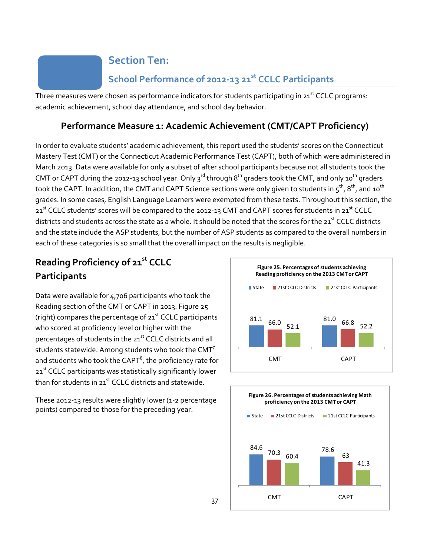## **Section Ten:**

## **School Performance of 2012‐13 21st CCLC Participants**

Three measures were chosen as performance indicators for students participating in 21<sup>st</sup> CCLC programs: academic achievement, school day attendance, and school day behavior.

### **Performance Measure 1: Academic Achievement (CMT/CAPT Proficiency)**

In order to evaluate students' academic achievement, this report used the students' scores on the Connecticut Mastery Test (CMT) or the Connecticut Academic Performance Test (CAPT), both of which were administered in March 2013. Data were available for only a subset of after school participants because not all students took the CMT or CAPT during the 2012-13 school year. Only 3<sup>rd</sup> through 8<sup>th</sup> graders took the CMT, and only 10<sup>th</sup> graders took the CAPT. In addition, the CMT and CAPT Science sections were only given to students in  $5^{th}$ ,  $8^{th}$ , and  $10^{th}$ grades. In some cases, English Language Learners were exempted from these tests. Throughout this section, the 21<sup>st</sup> CCLC students' scores will be compared to the 2012-13 CMT and CAPT scores for students in 21<sup>st</sup> CCLC districts and students across the state as a whole. It should be noted that the scores for the  $21^{st}$  CCLC districts and the state include the ASP students, but the number of ASP students as compared to the overall numbers in each of these categories is so small that the overall impact on the results is negligible.

## **Reading Proficiency of 21st CCLC Participants**

Data were available for 4,706 participants who took the Reading section of the CMT or CAPT in 2013. Figure 25 (right) compares the percentage of  $21<sup>st</sup>$  CCLC participants who scored at proficiency level or higher with the percentages of students in the 21<sup>st</sup> CCLC districts and all students statewide. Among students who took the CMT<sup>7</sup> and students who took the CAPT $^{\rm 8}$ , the proficiency rate for  $21^{st}$  CCLC participants was statistically significantly lower than for students in  $21<sup>st</sup>$  CCLC districts and statewide.

These 2012‐13 results were slightly lower (1‐2 percentage points) compared to those for the preceding year.



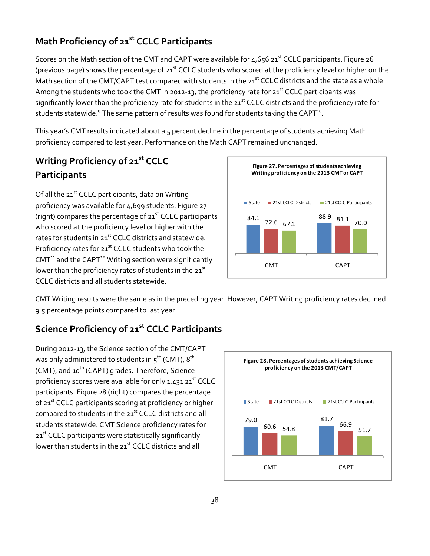#### 38

## **Math Proficiency of 21st CCLC Participants**

Scores on the Math section of the CMT and CAPT were available for  $4.656$  21<sup>st</sup> CCLC participants. Figure 26 (previous page) shows the percentage of  $21^{st}$  CCLC students who scored at the proficiency level or higher on the Math section of the CMT/CAPT test compared with students in the 21<sup>st</sup> CCLC districts and the state as a whole. Among the students who took the CMT in 2012-13, the proficiency rate for  $21^{st}$  CCLC participants was significantly lower than the proficiency rate for students in the 21<sup>st</sup> CCLC districts and the proficiency rate for students statewide. $9$  The same pattern of results was found for students taking the CAPT $^{10}$ .

This year's CMT results indicated about a 5 percent decline in the percentage of students achieving Math proficiency compared to last year. Performance on the Math CAPT remained unchanged.

## **Writing Proficiency of 21st CCLC Participants**

Of all the  $21^{st}$  CCLC participants, data on Writing proficiency was available for 4,699 students. Figure 27 (right) compares the percentage of  $21<sup>st</sup>$  CCLC participants who scored at the proficiency level or higher with the rates for students in 21<sup>st</sup> CCLC districts and statewide. Proficiency rates for 21<sup>st</sup> CCLC students who took the  $CMT^{11}$  and the CAPT<sup>12</sup> Writing section were significantly lower than the proficiency rates of students in the 21<sup>st</sup> CCLC districts and all students statewide.



CMT Writing results were the same as in the preceding year. However, CAPT Writing proficiency rates declined 9.5 percentage points compared to last year.

### **Science Proficiency of 21st CCLC Participants**

During 2012‐13, the Science section of the CMT/CAPT was only administered to students in  $5^{th}$  (CMT),  $8^{th}$ (CMT), and  $10^{th}$  (CAPT) grades. Therefore, Science proficiency scores were available for only  $1,431$   $21<sup>st</sup>$  CCLC participants. Figure 28 (right) compares the percentage of 21<sup>st</sup> CCLC participants scoring at proficiency or higher compared to students in the 21<sup>st</sup> CCLC districts and all students statewide. CMT Science proficiency rates for 21<sup>st</sup> CCLC participants were statistically significantly lower than students in the 21<sup>st</sup> CCLC districts and all

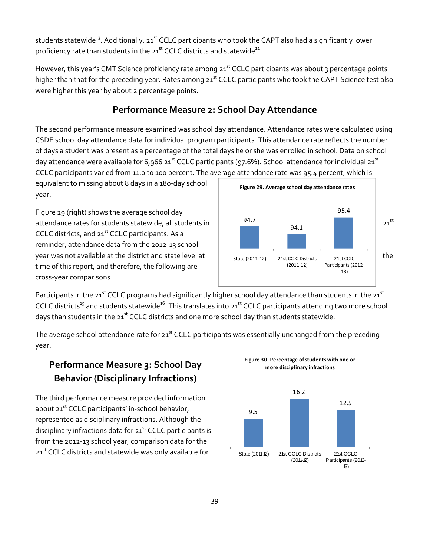students statewide<sup>13</sup>. Additionally, 21<sup>st</sup> CCLC participants who took the CAPT also had a significantly lower proficiency rate than students in the 21<sup>st</sup> CCLC districts and statewide<sup>14</sup>.

However, this year's CMT Science proficiency rate among 21<sup>st</sup> CCLC participants was about 3 percentage points higher than that for the preceding year. Rates among 21<sup>st</sup> CCLC participants who took the CAPT Science test also were higher this year by about 2 percentage points.

#### **Performance Measure 2: School Day Attendance**

The second performance measure examined was school day attendance. Attendance rates were calculated using CSDE school day attendance data for individual program participants. This attendance rate reflects the number of days a student was present as a percentage of the total days he or she was enrolled in school. Data on school day attendance were available for  $6.966$  21<sup>st</sup> CCLC participants (97.6%). School attendance for individual 21<sup>st</sup> CCLC participants varied from 11.0 to 100 percent. The average attendance rate was 95.4 percent, which is

equivalent to missing about 8 days in a 180‐day school year.

Figure 29 (right) shows the average school day attendance rates for students statewide, all students in  $\begin{array}{ccc} 94.7 & 0.1 & 0.1 \end{array}$  21st CCLC districts, and 21<sup>st</sup> CCLC participants. As a reminder, attendance data from the 2012‐13 school year was not available at the district and state level at the time of this report, and therefore, the following are cross‐year comparisons.



Participants in the 21<sup>st</sup> CCLC programs had significantly higher school day attendance than students in the 21<sup>st</sup> CCLC districts<sup>15</sup> and students statewide<sup>16</sup>. This translates into 21<sup>st</sup> CCLC participants attending two more school days than students in the 21<sup>st</sup> CCLC districts and one more school day than students statewide.

The average school attendance rate for 21<sup>st</sup> CCLC participants was essentially unchanged from the preceding year.

## **Performance Measure 3: School Day Behavior (Disciplinary Infractions)**

The third performance measure provided information about 21<sup>st</sup> CCLC participants' in-school behavior, represented as disciplinary infractions. Although the disciplinary infractions data for  $21<sup>st</sup>$  CCLC participants is from the 2012‐13 school year, comparison data for the 21<sup>st</sup> CCLC districts and statewide was only available for

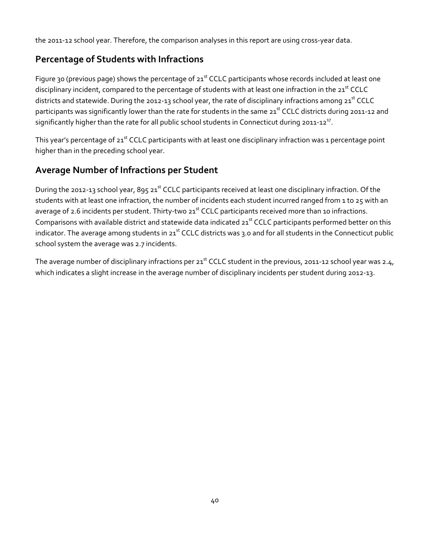the 2011-12 school year. Therefore, the comparison analyses in this report are using cross-year data.

#### **Percentage of Students with Infractions**

Figure 30 (previous page) shows the percentage of  $21<sup>st</sup>$  CCLC participants whose records included at least one disciplinary incident, compared to the percentage of students with at least one infraction in the 21<sup>st</sup> CCLC districts and statewide. During the 2012-13 school year, the rate of disciplinary infractions among 21<sup>st</sup> CCLC participants was significantly lower than the rate for students in the same 21<sup>st</sup> CCLC districts during 2011-12 and significantly higher than the rate for all public school students in Connecticut during 2011-12<sup>17</sup>.

This year's percentage of  $21^{st}$  CCLC participants with at least one disciplinary infraction was 1 percentage point higher than in the preceding school year.

#### **Average Number of Infractions per Student**

During the 2012-13 school year, 895 21<sup>st</sup> CCLC participants received at least one disciplinary infraction. Of the students with at least one infraction, the number of incidents each student incurred ranged from 1 to 25 with an average of 2.6 incidents per student. Thirty-two 21<sup>st</sup> CCLC participants received more than 10 infractions. Comparisons with available district and statewide data indicated  $21<sup>st</sup>$  CCLC participants performed better on this indicator. The average among students in  $21^{st}$  CCLC districts was 3.0 and for all students in the Connecticut public school system the average was 2.7 incidents.

The average number of disciplinary infractions per  $21^{st}$  CCLC student in the previous, 2011-12 school year was 2.4, which indicates a slight increase in the average number of disciplinary incidents per student during 2012‐13.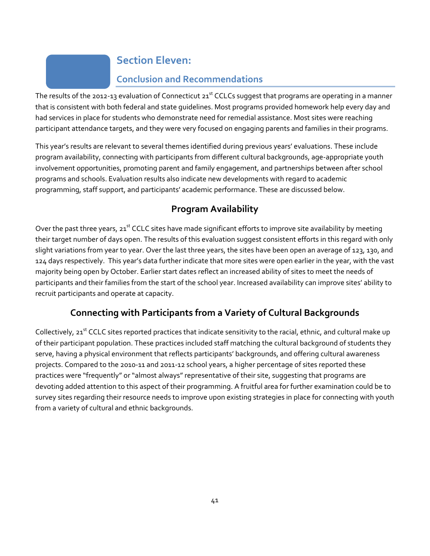## **Section Eleven:**

### **Conclusion and Recommendations**

The results of the 2012-13 evaluation of Connecticut  $21^{st}$  CCLCs suggest that programs are operating in a manner that is consistent with both federal and state guidelines. Most programs provided homework help every day and had services in place for students who demonstrate need for remedial assistance. Most sites were reaching participant attendance targets, and they were very focused on engaging parents and families in their programs.

This year's results are relevant to several themes identified during previous years' evaluations. These include program availability, connecting with participants from different cultural backgrounds, age‐appropriate youth involvement opportunities, promoting parent and family engagement, and partnerships between after school programs and schools. Evaluation results also indicate new developments with regard to academic programming, staff support, and participants' academic performance. These are discussed below.

### **Program Availability**

Over the past three years, 21<sup>st</sup> CCLC sites have made significant efforts to improve site availability by meeting their target number of days open. The results of this evaluation suggest consistent efforts in this regard with only slight variations from year to year. Over the last three years, the sites have been open an average of 123, 130, and 124 days respectively. This year's data further indicate that more sites were open earlier in the year, with the vast majority being open by October. Earlier start dates reflect an increased ability of sites to meet the needs of participants and their families from the start of the school year. Increased availability can improve sites' ability to recruit participants and operate at capacity.

### **Connecting with Participants from a Variety of Cultural Backgrounds**

Collectively, 21<sup>st</sup> CCLC sites reported practices that indicate sensitivity to the racial, ethnic, and cultural make up of their participant population. These practices included staff matching the cultural background of students they serve, having a physical environment that reflects participants' backgrounds, and offering cultural awareness projects. Compared to the 2010‐11 and 2011‐12 school years, a higher percentage of sites reported these practices were "frequently" or "almost always" representative of their site, suggesting that programs are devoting added attention to this aspect of their programming. A fruitful area for further examination could be to survey sites regarding their resource needs to improve upon existing strategies in place for connecting with youth from a variety of cultural and ethnic backgrounds.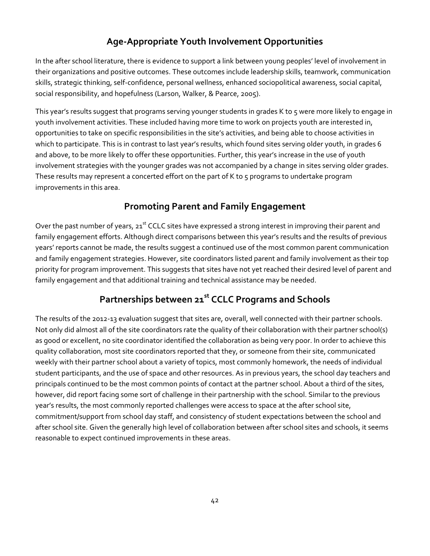#### **Age‐Appropriate Youth Involvement Opportunities**

In the after school literature, there is evidence to support a link between young peoples' level of involvement in their organizations and positive outcomes. These outcomes include leadership skills, teamwork, communication skills, strategic thinking, self‐confidence, personal wellness, enhanced sociopolitical awareness, social capital, social responsibility, and hopefulness (Larson, Walker, & Pearce, 2005).

This year's results suggest that programs serving younger students in grades K to 5 were more likely to engage in youth involvement activities. These included having more time to work on projects youth are interested in, opportunities to take on specific responsibilities in the site's activities, and being able to choose activities in which to participate. This is in contrast to last year's results, which found sites serving older youth, in grades 6 and above, to be more likely to offer these opportunities. Further, this year's increase in the use of youth involvement strategies with the younger grades was not accompanied by a change in sites serving older grades. These results may represent a concerted effort on the part of K to 5 programs to undertake program improvements in this area.

#### **Promoting Parent and Family Engagement**

Over the past number of years, 21<sup>st</sup> CCLC sites have expressed a strong interest in improving their parent and family engagement efforts. Although direct comparisons between this year's results and the results of previous years' reports cannot be made, the results suggest a continued use of the most common parent communication and family engagement strategies. However, site coordinators listed parent and family involvement as their top priority for program improvement. This suggests that sites have not yet reached their desired level of parent and family engagement and that additional training and technical assistance may be needed.

### **Partnerships between 21st CCLC Programs and Schools**

The results of the 2012‐13 evaluation suggest that sites are, overall, well connected with their partner schools. Not only did almost all of the site coordinators rate the quality of their collaboration with their partner school(s) as good or excellent, no site coordinator identified the collaboration as being very poor. In order to achieve this quality collaboration, most site coordinators reported that they, or someone from their site, communicated weekly with their partner school about a variety of topics, most commonly homework, the needs of individual student participants, and the use of space and other resources. As in previous years, the school day teachers and principals continued to be the most common points of contact at the partner school. About a third of the sites, however, did report facing some sort of challenge in their partnership with the school. Similar to the previous year's results, the most commonly reported challenges were access to space at the after school site, commitment/support from school day staff, and consistency of student expectations between the school and after school site. Given the generally high level of collaboration between after school sites and schools, it seems reasonable to expect continued improvements in these areas.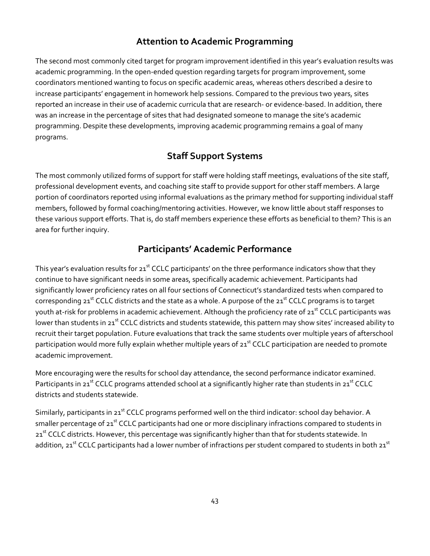#### **Attention to Academic Programming**

The second most commonly cited target for program improvement identified in this year's evaluation results was academic programming. In the open-ended question regarding targets for program improvement, some coordinators mentioned wanting to focus on specific academic areas, whereas others described a desire to increase participants' engagement in homework help sessions. Compared to the previous two years, sites reported an increase in their use of academic curricula that are research‐ or evidence‐based. In addition, there was an increase in the percentage of sites that had designated someone to manage the site's academic programming. Despite these developments, improving academic programming remains a goal of many programs.

### **Staff Support Systems**

The most commonly utilized forms of support for staff were holding staff meetings, evaluations of the site staff, professional development events, and coaching site staff to provide support for other staff members. A large portion of coordinators reported using informal evaluations as the primary method for supporting individual staff members, followed by formal coaching/mentoring activities. However, we know little about staff responses to these various support efforts. That is, do staff members experience these efforts as beneficial to them? This is an area for further inquiry.

#### **Participants' Academic Performance**

This year's evaluation results for  $21<sup>st</sup>$  CCLC participants' on the three performance indicators show that they continue to have significant needs in some areas, specifically academic achievement. Participants had significantly lower proficiency rates on all four sections of Connecticut's standardized tests when compared to corresponding  $21^{st}$  CCLC districts and the state as a whole. A purpose of the  $21^{st}$  CCLC programs is to target youth at-risk for problems in academic achievement. Although the proficiency rate of 21<sup>st</sup> CCLC participants was lower than students in 21<sup>st</sup> CCLC districts and students statewide, this pattern may show sites' increased ability to recruit their target population. Future evaluations that track the same students over multiple years of afterschool participation would more fully explain whether multiple years of  $21<sup>st</sup>$  CCLC participation are needed to promote academic improvement.

More encouraging were the results for school day attendance, the second performance indicator examined. Participants in 21<sup>st</sup> CCLC programs attended school at a significantly higher rate than students in 21<sup>st</sup> CCLC districts and students statewide.

Similarly, participants in 21<sup>st</sup> CCLC programs performed well on the third indicator: school day behavior. A smaller percentage of 21<sup>st</sup> CCLC participants had one or more disciplinary infractions compared to students in 21<sup>st</sup> CCLC districts. However, this percentage was significantly higher than that for students statewide. In addition, 21<sup>st</sup> CCLC participants had a lower number of infractions per student compared to students in both 21<sup>st</sup>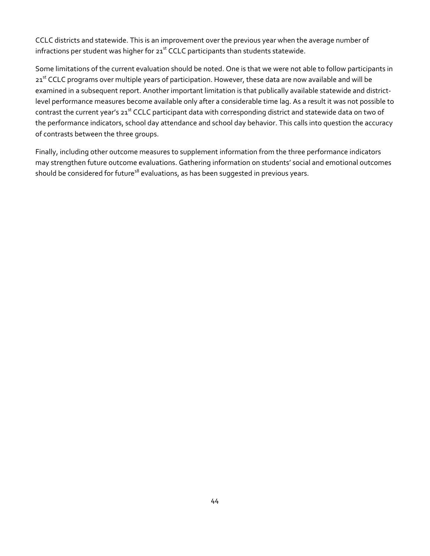CCLC districts and statewide. This is an improvement over the previous year when the average number of infractions per student was higher for  $21<sup>st</sup>$  CCLC participants than students statewide.

Some limitations of the current evaluation should be noted. One is that we were not able to follow participants in 21<sup>st</sup> CCLC programs over multiple years of participation. However, these data are now available and will be examined in a subsequent report. Another important limitation is that publically available statewide and districtlevel performance measures become available only after a considerable time lag. As a result it was not possible to contrast the current year's 21<sup>st</sup> CCLC participant data with corresponding district and statewide data on two of the performance indicators, school day attendance and school day behavior. This calls into question the accuracy of contrasts between the three groups.

Finally, including other outcome measures to supplement information from the three performance indicators may strengthen future outcome evaluations. Gathering information on students' social and emotional outcomes should be considered for future<sup>18</sup> evaluations, as has been suggested in previous years.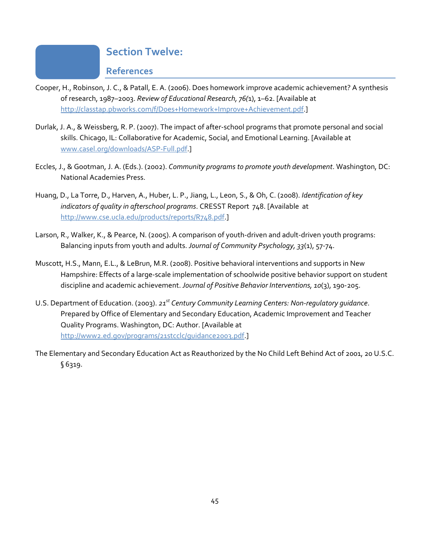#### **Section Twelve:**

#### **References**

- Cooper, H., Robinson, J. C., & Patall, E. A. (2006). Does homework improve academic achievement? A synthesis of research, 1987–2003. *Review of Educational Research, 76(*1), 1–62. [Available at http://classtap.pbworks.com/f/Does+Homework+Improve+Achievement.pdf.]
- Durlak, J. A., & Weissberg, R. P. (2007). The impact of after‐school programs that promote personal and social skills. Chicago, IL: Collaborative for Academic, Social, and Emotional Learning. [Available at www.casel.org/downloads/ASP‐Full.pdf.]
- Eccles, J., & Gootman, J. A. (Eds.). (2002). *Community programs to promote youth development*. Washington, DC: National Academies Press.
- Huang, D., La Torre, D., Harven, A., Huber, L. P., Jiang, L., Leon, S., & Oh, C. (2008). *Identification of key indicators of quality in afterschool programs*. CRESST Report 748. [Available at http://www.cse.ucla.edu/products/reports/R748.pdf.]
- Larson, R., Walker, K., & Pearce, N. (2005). A comparison of youth‐driven and adult‐driven youth programs: Balancing inputs from youth and adults. *Journal of Community Psychology, 33*(1), 57‐74.
- Muscott, H.S., Mann, E.L., & LeBrun, M.R. (2008). Positive behavioral interventions and supports in New Hampshire: Effects of a large-scale implementation of schoolwide positive behavior support on student discipline and academic achievement. *Journal of Positive Behavior Interventions, 10*(3), 190‐205.
- U.S. Department of Education. (2003). *21st Century Community Learning Centers: Non‐regulatory guidance*. Prepared by Office of Elementary and Secondary Education, Academic Improvement and Teacher Quality Programs. Washington, DC: Author. [Available at http://www2.ed.gov/programs/21stcclc/guidance2003.pdf.]
- The Elementary and Secondary Education Act as Reauthorized by the No Child Left Behind Act of 2001, 20 U.S.C. § 6319.